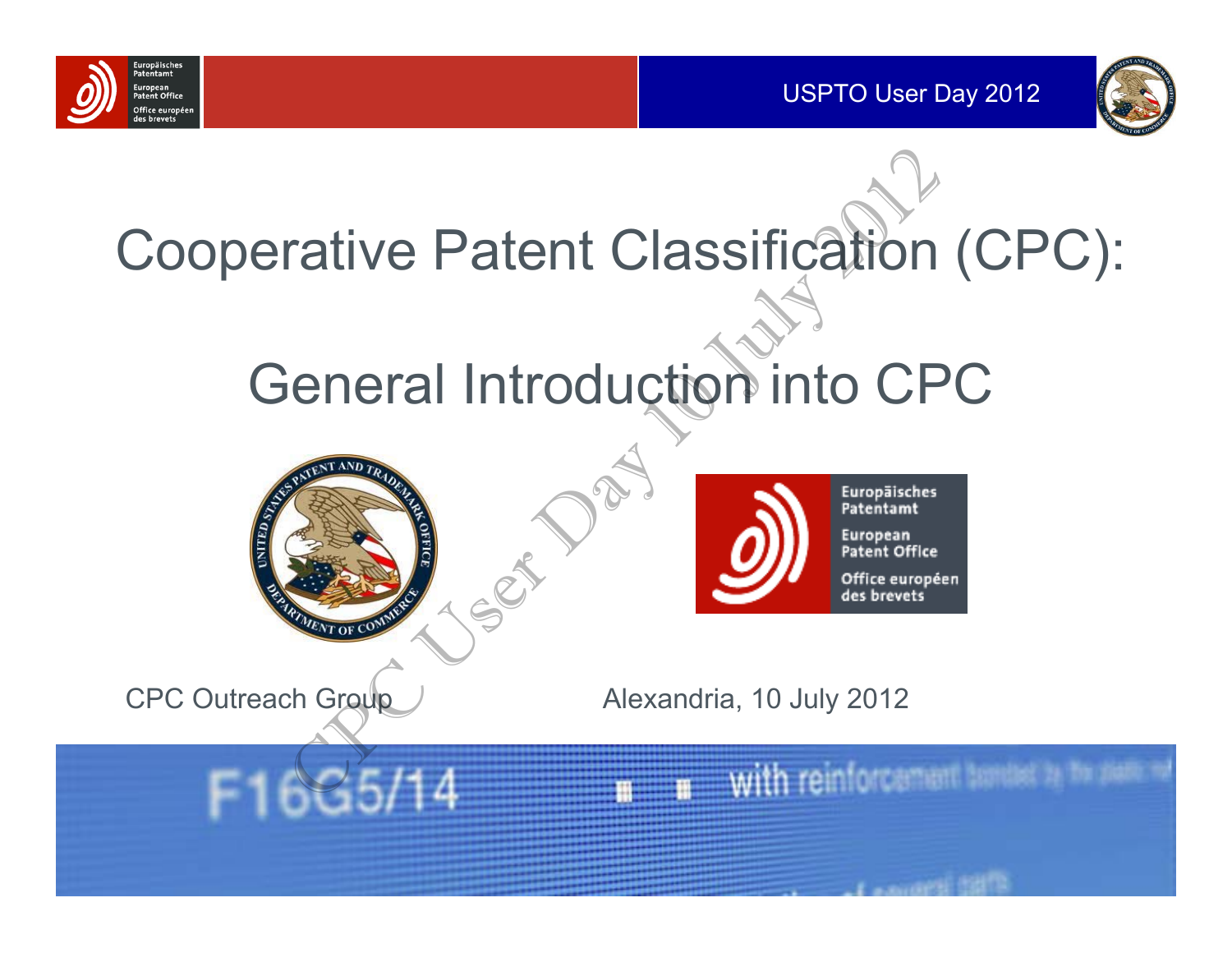



## Cooperative Patent Classification (CPC):

### General Introduction into CPC

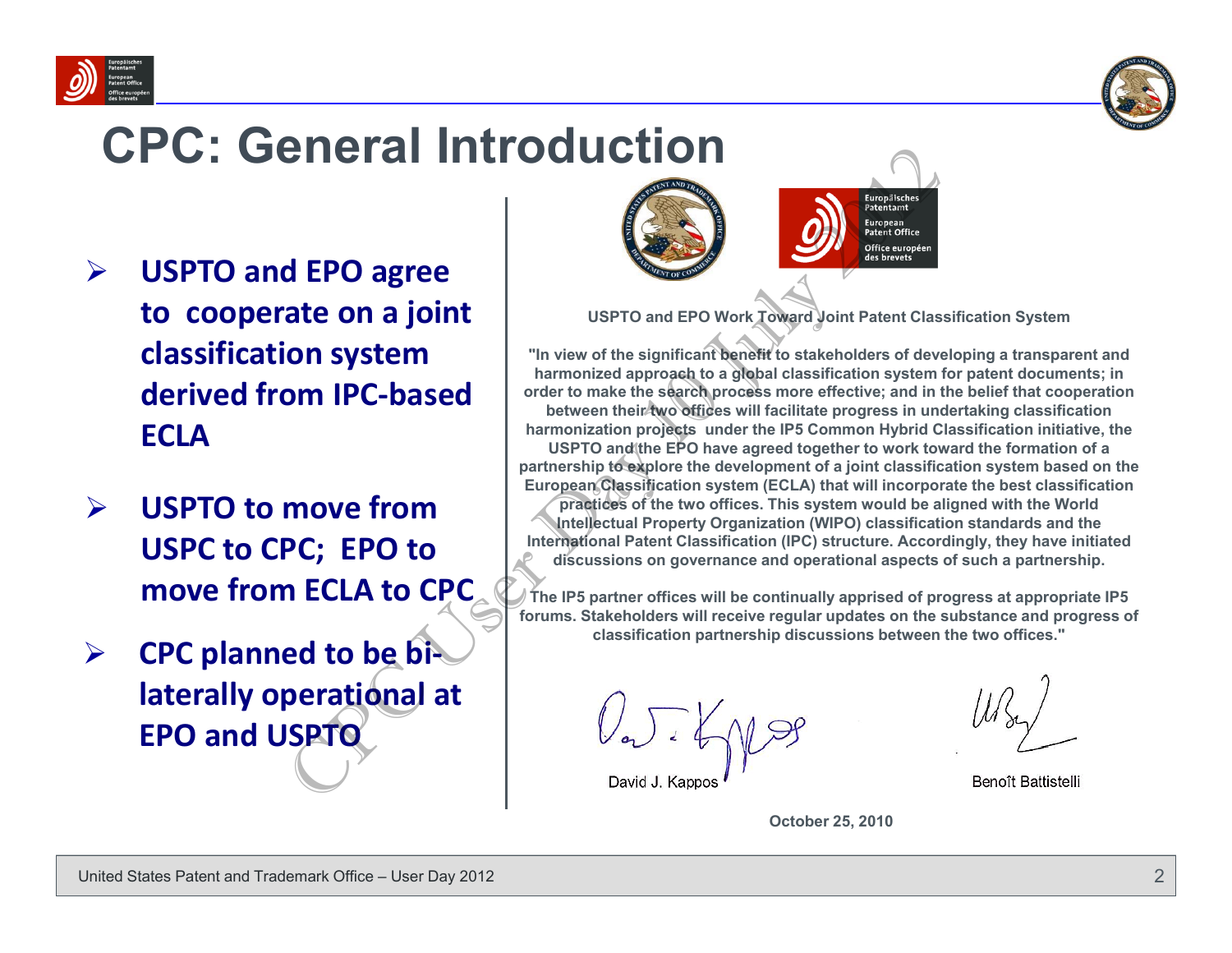



#### **CPC: General Introduction**

- $\blacktriangleright$  **USPTO and EPO agree to cooperate on <sup>a</sup> joint classification system derived from IPC‐based ECLA**
- $\blacktriangleright$  **USPTO to move fromUSPC to CPC; EPO to move from ECLA to CPC**
- $\blacktriangleright$  **CPC planned to be bi‐ laterally operational at EPO and USPTO**



**USPTO and EPO Work Toward Joint Patent Classification System**

**"In view of the significant benefit to stakeholders of developing a transparent and harmonized approach to a global classification system for patent documents; in order to make the search process more effective; and in the belief that cooperation**  between their two offices will facilitate progress in undertaking classification **harmonization projects under the IP5 Common Hybrid Classification initiative, the USPTO and the EPO have agreed together to work toward the formation of a partnership to explore the development of a joint classification system based on the European Classification system (ECLA) that will incorporate the best classification practices of the two offices. This system would be aligned with the World Intellectual Property Organization (WIPO) classification standards and the**  CHERE ALLE TRIST CONSULTED IN THE CONSULTED IN THE CONSULTED IN THE CONSULTED IN THE USER OF THE STATE OF THE CONSULTED IN THE CONSULTED IN THE CONSULTED IN THE CONSULTED IN THE CONSULTED IN THE CONSULTED IN THE CONSULTED

**International Patent Classification (IPC) structure. Accordingly, they have initiated discussions on governance and operational aspects of such a partnership.**

**The IP5 partner offices will be continually apprised of progress at appropriate IP5 forums. Stakeholders will receive regular updates on the substance and progress of classification partnership discussions between the two offices."**

Benoît Battistelli

**October 25, 2010**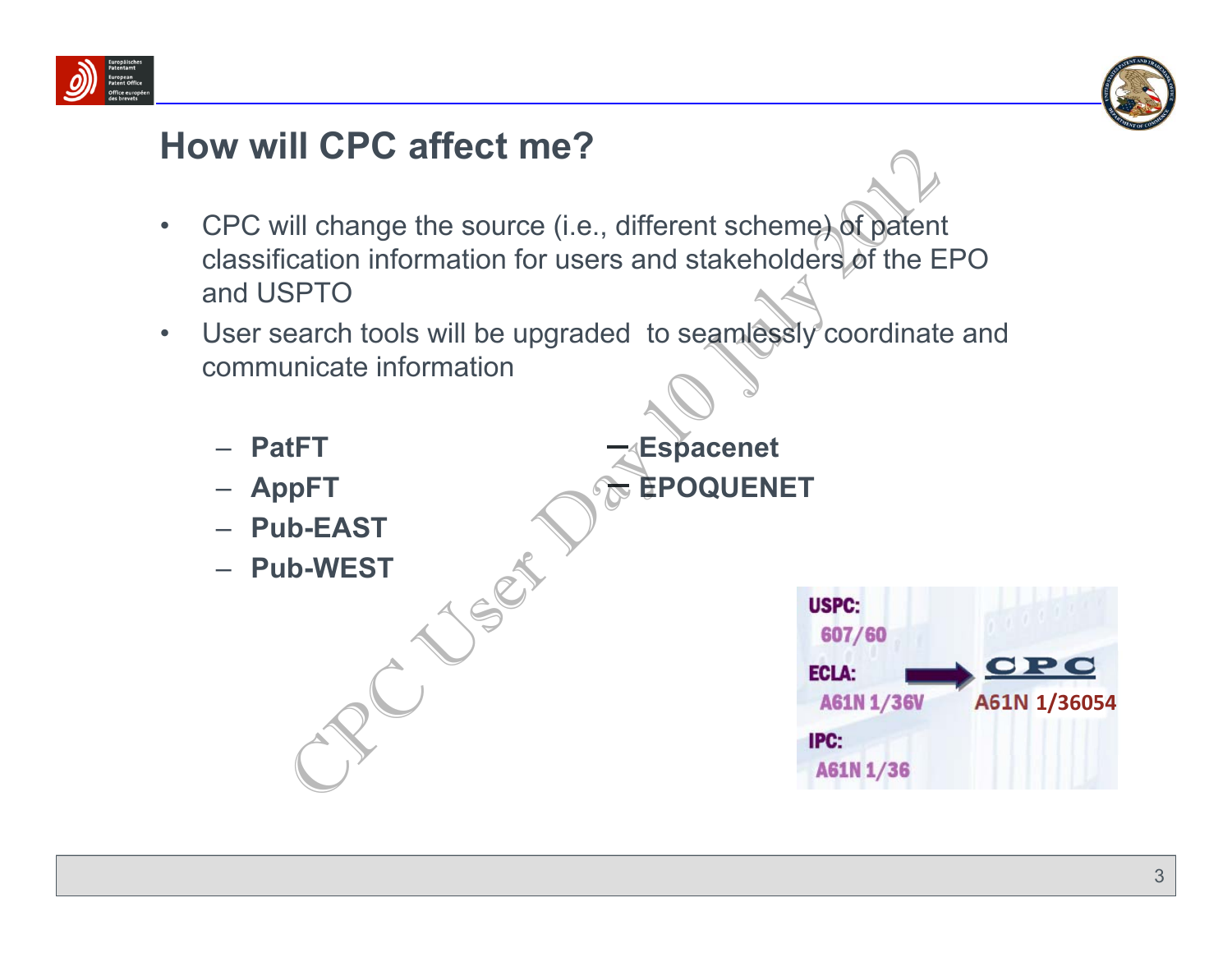



#### **How will CPC affect me?**

- $\bullet$  CPC will change the source (i.e., different scheme) of patent classification information for users and stakeholders of the EPO and USPTOFill change the source (i.e., different scheme) of patent<br>cation information for users and stakeholders of the ESPTO<br>earch tools will be upgraded to seamlessly coordinate<br>unicate information<br>tFT<br>tFT<br>decarred the coordinate
- $\bullet$  User search tools will be upgraded to seamlessly coordinate and communicate information

**AppFT EPOQUENET**

- **PatFT CONSIDERENT FINDS**
- AppFT
- **Pub-EAST**
- **Pub-WEST**

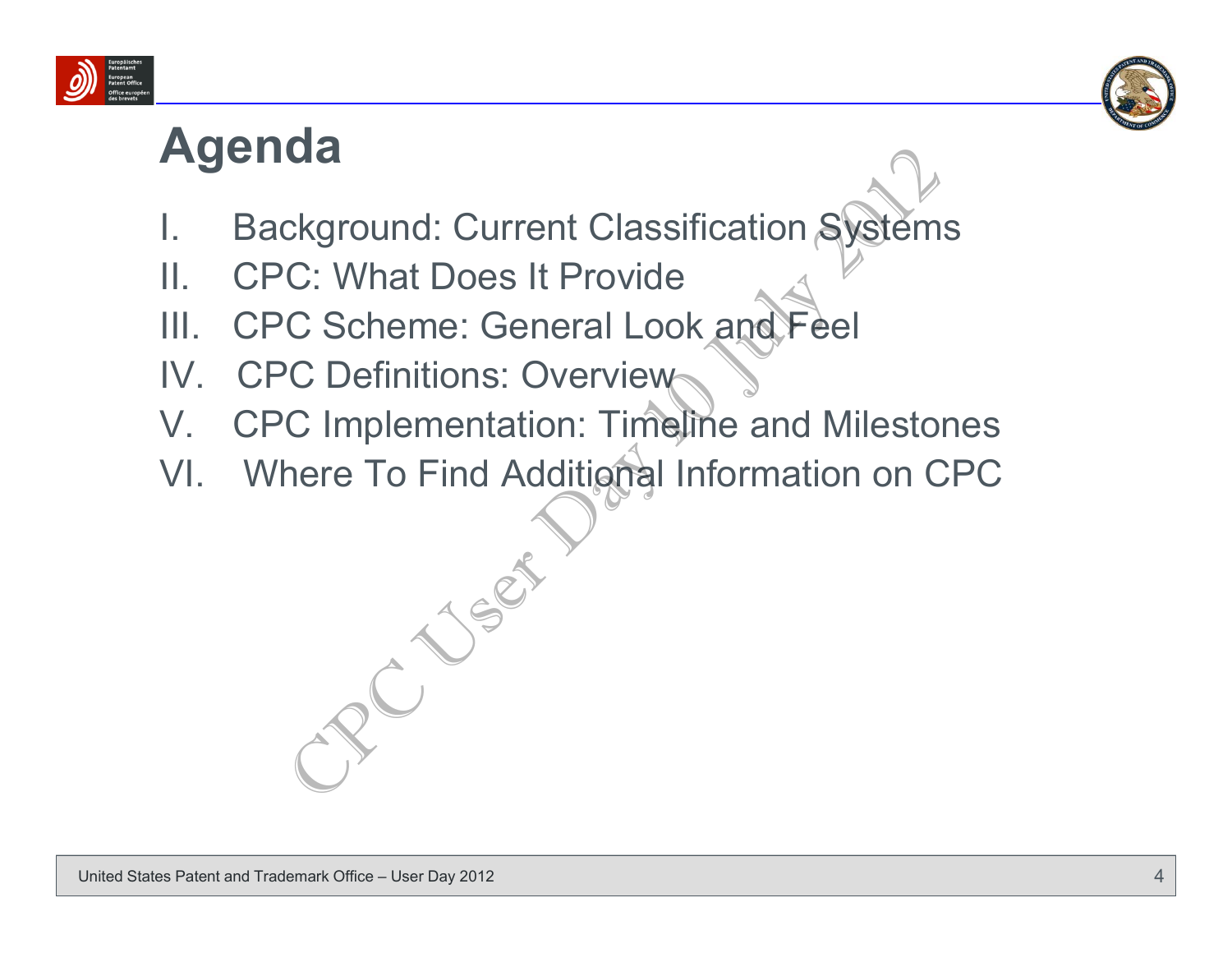



#### **Agenda**

- Background: Current Classification Systems
- II. CPC: What Does It Provide
- III. CPC Scheme: General Look and Feel
- IV. CPC Definitions: Overview
- V. CPC Implementation: Timeline and Milestones
- VI. Where To Find Additional Information on CPC

CREAT CHARACTER CONSTRAINS CONTROLL OF SCHOOL CONTROLL CONTROLL CONTROLL CONTROLL CONTROLL CONTROLL CONTROLL CONTROLL CONTROLL CONTROLL CONTROLL CONTROLL CONTROLL CONTROLL CONTROLL CONTROLL CONTROLL CONTROLL CONTROLL CONTR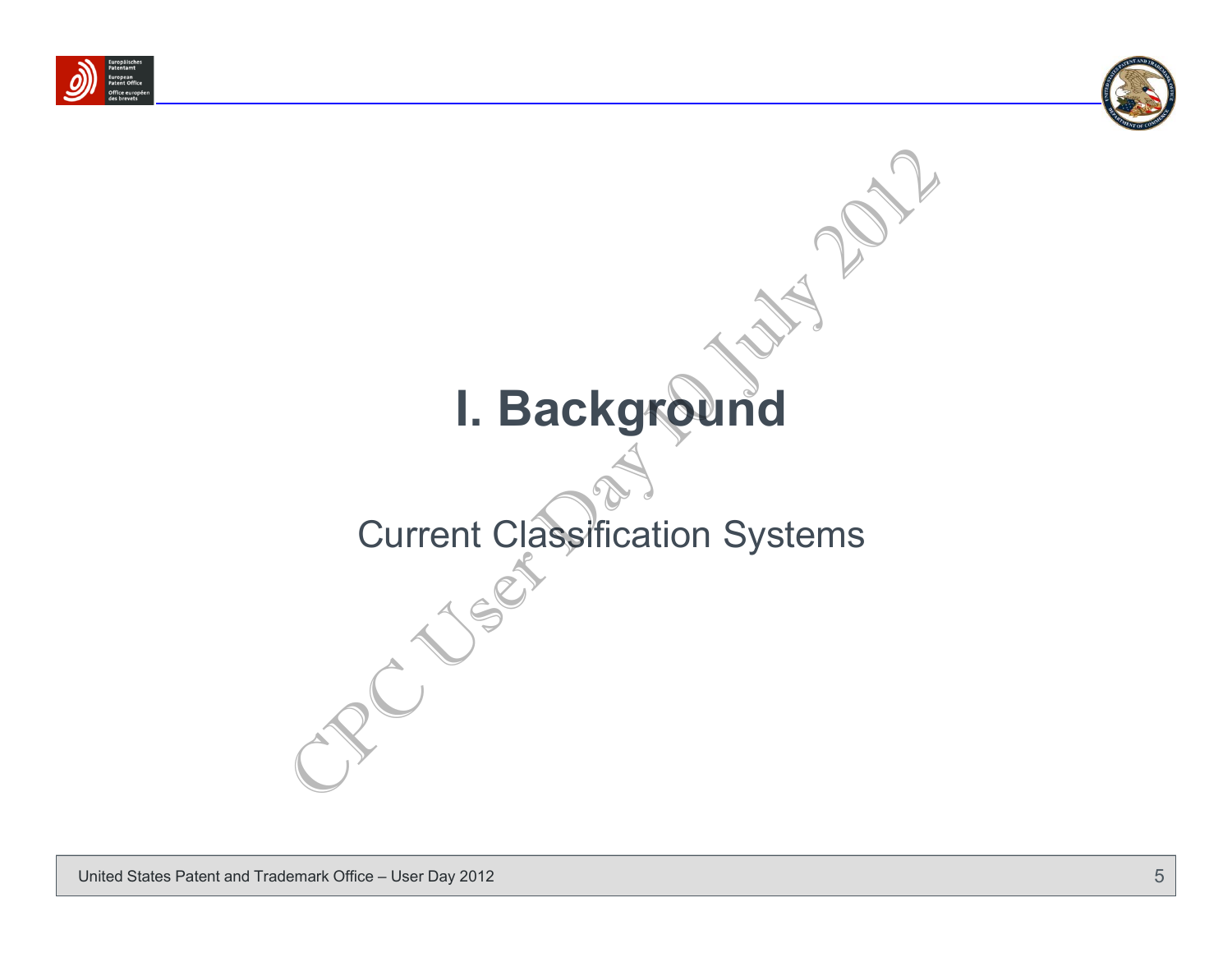



# **I. Background** I. Background<br>Current Classification Systems

## Current Classification Systems

United States Patent and Trademark Office – User Day 2012 **5 and 2012 5 and 30 and 30 and 30 and 30 and 30 and 30 and 30 and 30 and 30 and 30 and 30 and 30 and 30 and 30 and 30 and 30 and 30 and 30 and 30 and 30 and 30 a**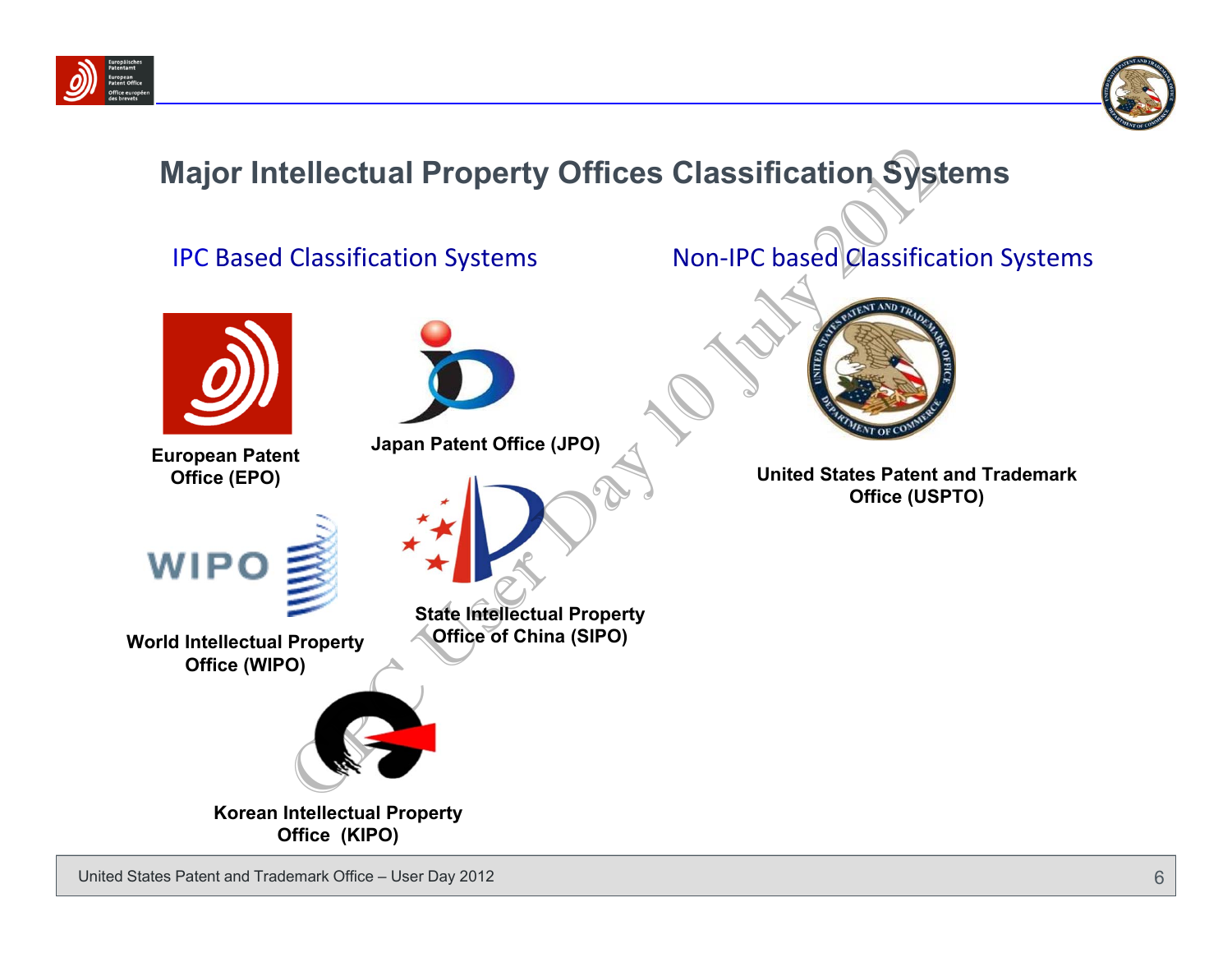



#### **Major Intellectual Property Offices Classification Systems**

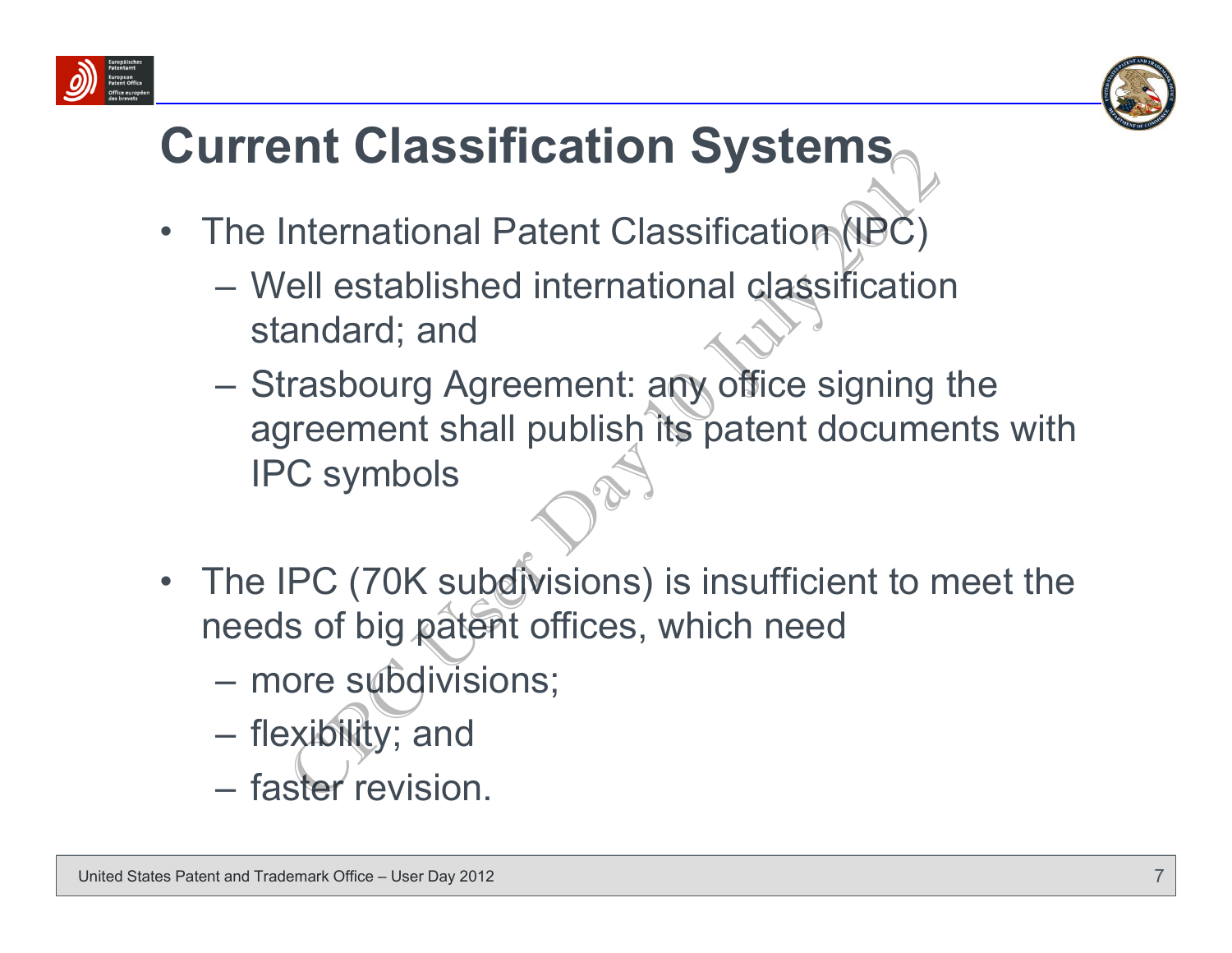



### **Current Classification Systems**

- $\bullet$ The International Patent Classification (IPC)
	- Well established international classification standard; and
- Strasbourg Agreement: any office signing the agreement shall publish its patent documents with IPC symbols Find Classification Systems<br>
International Patent Classification (IBC)<br>
iell established international classification<br>
andard; and<br>
rrasbourg Agreement: any office signing<br>
preement shall publish its patent docume<br>
C symbo
- •The IPC (70K subdivisions) is insufficient to meet the needs of big patent offices, which need
	- more subdivisions;
	- **However the Common** flexibility; and
	- faster revision.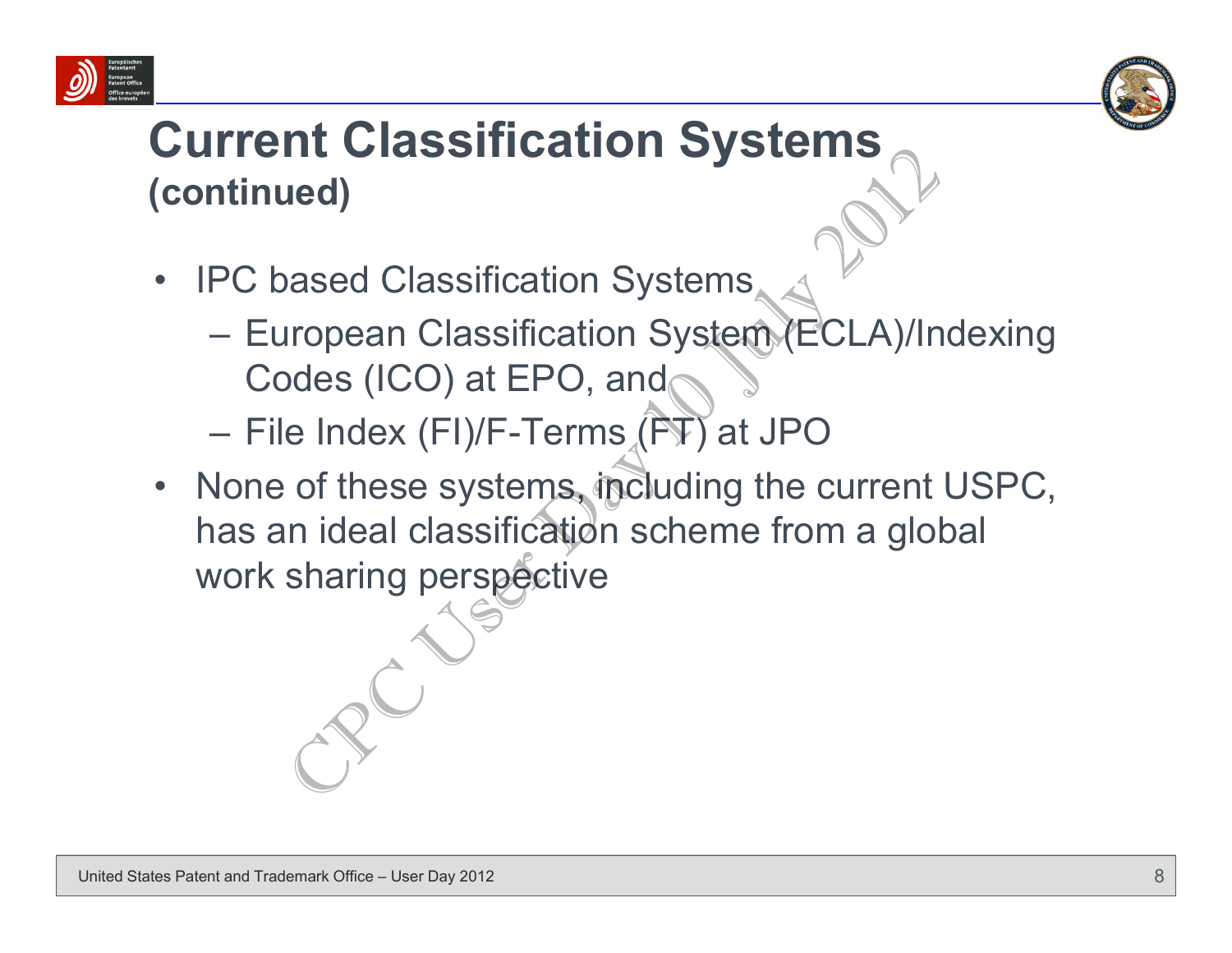



#### **Current Classification Systems (continued)**

- • IPC based Classification Systems
	- European Classification System (ECLA)/Indexing Codes (ICO) at EPO, and
	- File Index (FI)/F-Terms (FT) at JPO
- None of these systems, including the current USPC, has an ideal classification scheme from a global work sharing perspective The Classification Systems<br>
The Classification Systems<br>
Iropean Classification System (ECLA)/In<br>
Dodes (ICO) at EPO, and<br>
Endex (FI)/F-Terms (FT) at JPO<br>
of these systems, including the current<br>
In ideal classification sch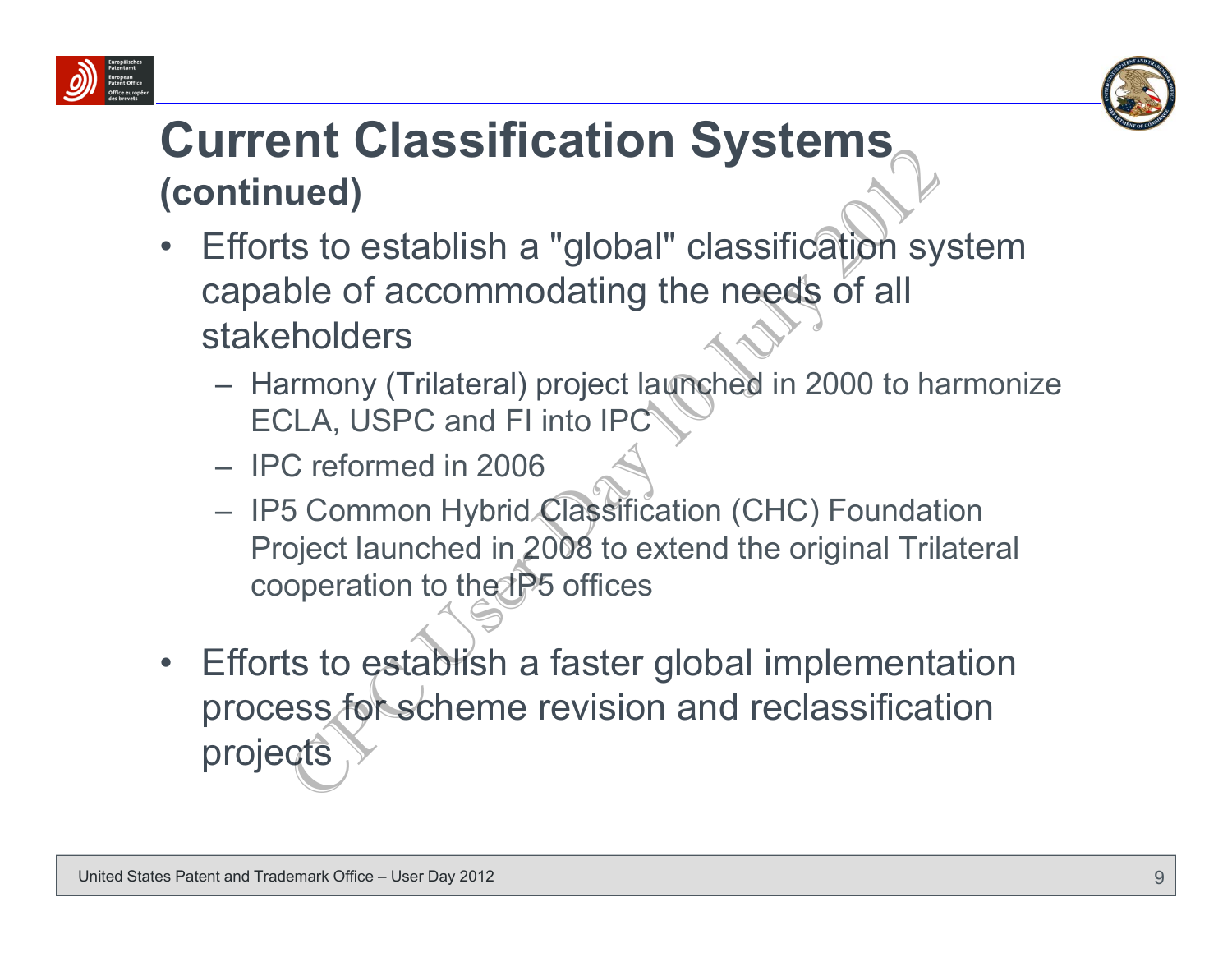



#### **Current Classification Systems (continued)**

- • Efforts to establish a "global" classification system capable of accommodating the needs of all stakeholders
	- Harmony (Trilateral) project launched in 2000 to harmonize ECLA, USPC and FI into IPC
	- IPC reformed in 2006
	- IP5 Common Hybrid Classification (CHC) Foundation Project launched in 2008 to extend the original Trilateral cooperation to the IP5 offices
- • Efforts to establish a faster global implementation process for scheme revision and reclassification projects Find Crassmication Cystems<br>
ued)<br>
ts to establish a "global" classification sy<br>
ble of accommodating the needs of all<br>
cholders<br>
ELA, USPC and FI into IPC<br>
C reformed in 2006<br>
5 Common Hybrid Classification (CHC) Foundat<br>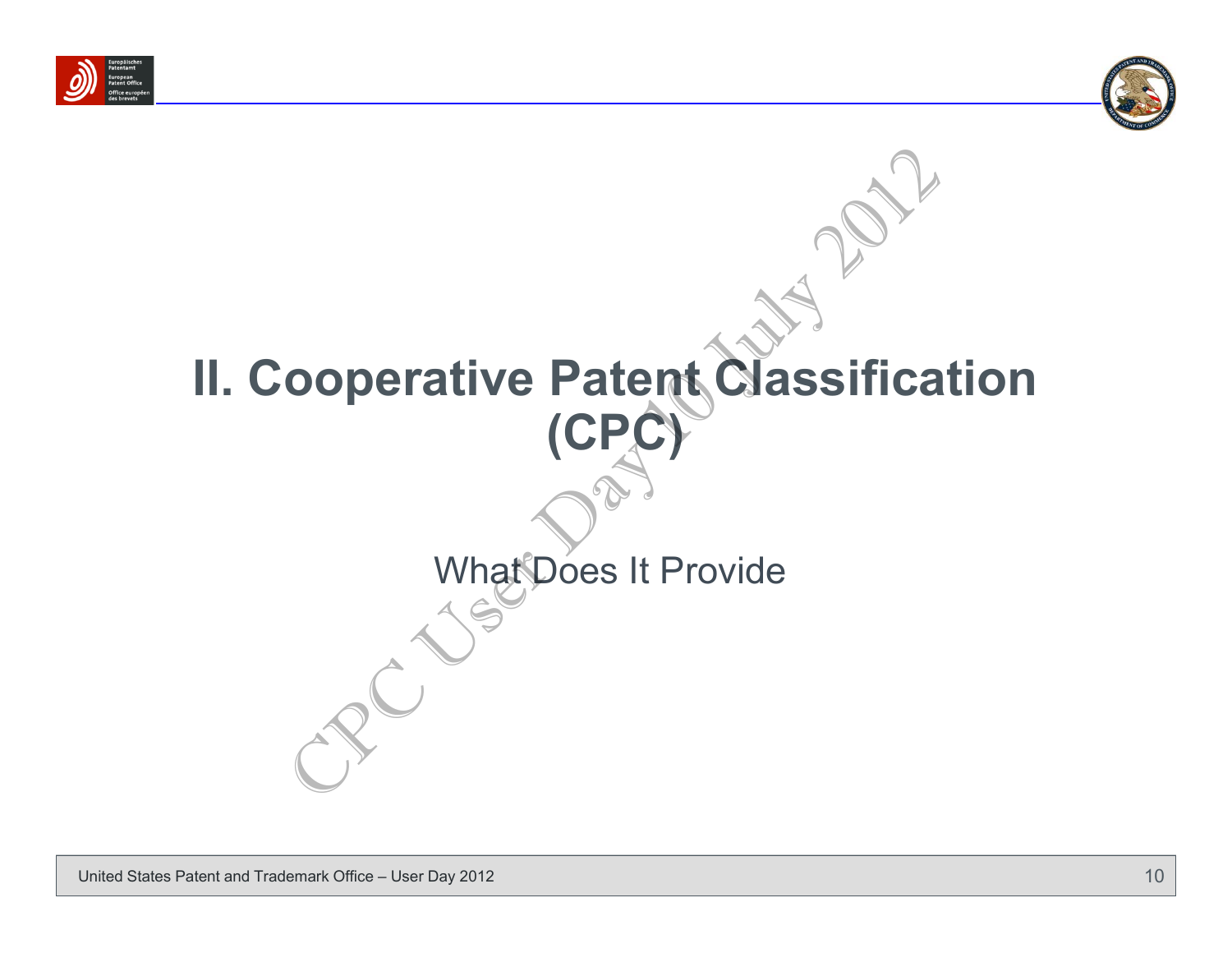



# **II. Cooperative Patent Classification (CPC)** What Does It Provide Ooperative Patent Classifica<br>
(CPC)<br>
What Does It Provide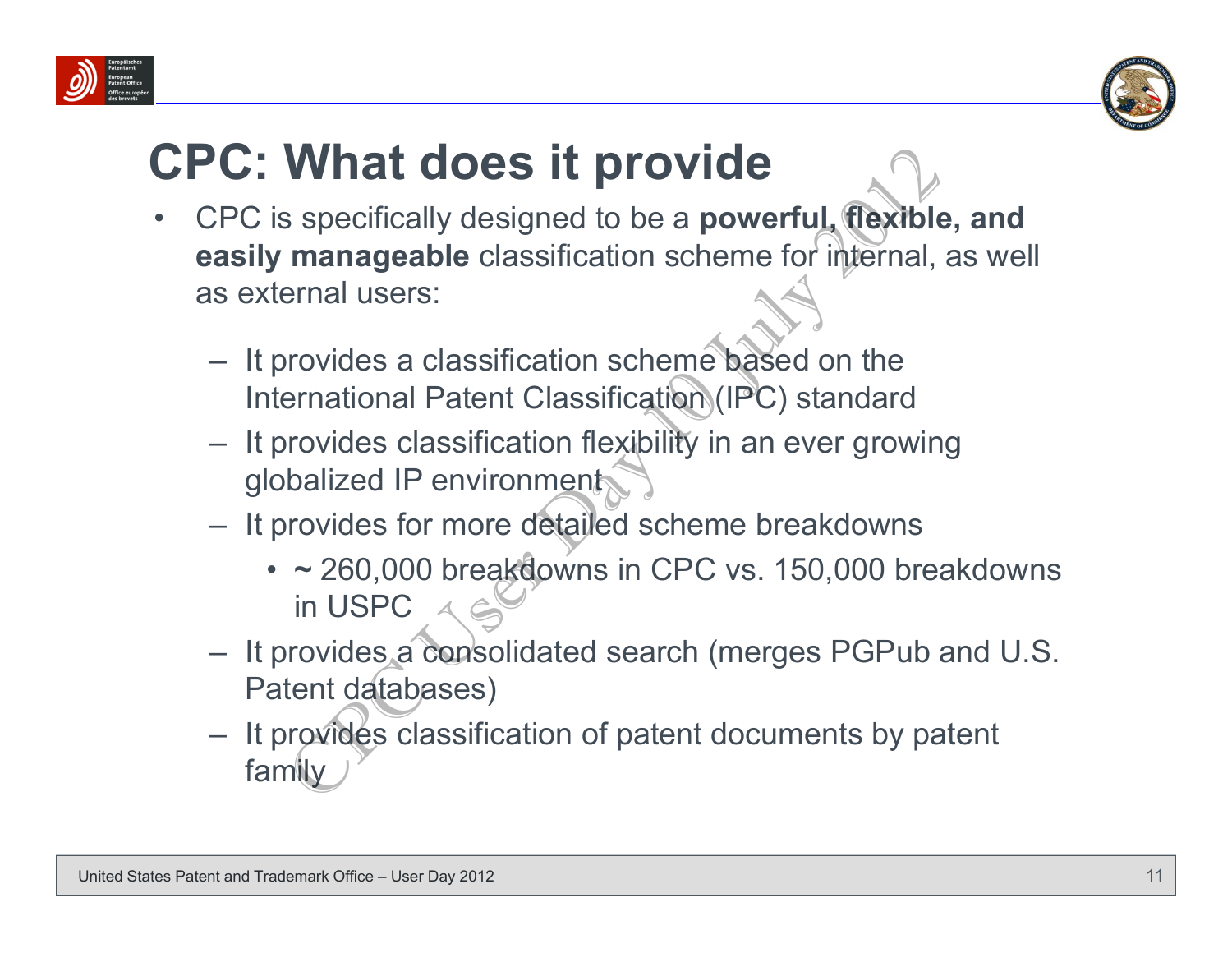



#### **CPC: What does it provide**

- • CPC is specifically designed to be a **powerful, flexible, and easily manageable** classification scheme for internal, as well as external users:What does it provide<br>
Solar specifically designed to be a powerful, the specifically designed to be a powerful, the specifical<br>
manageable classification scheme for internal,<br>
permaision are consisted on the<br>
permaisional
	- It provides a classification scheme based on the International Patent Classification (IPC) standard
	- It provides classification flexibility in an ever growing globalized IP environment
	- It provides for more detailed scheme breakdowns
		- **~** 260,000 breakdowns in CPC vs. 150,000 breakdowns in USPC
	- It provides a consolidated search (merges PGPub and U.S. Patent databases)
	- It provides classification of patent documents by patent family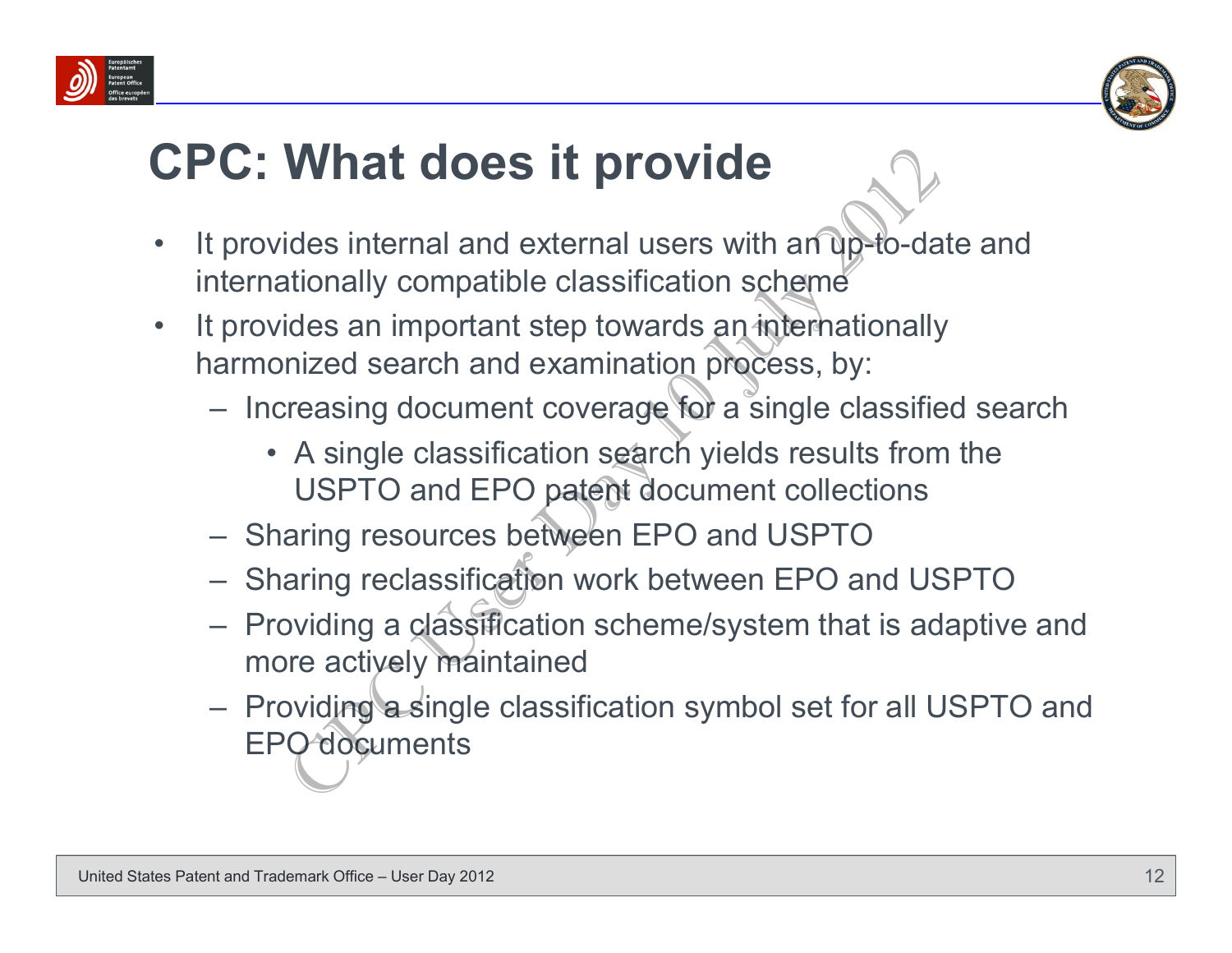



#### **CPC: What does it provide**

- • It provides internal and external users with an up-to-date and internationally compatible classification scheme
- • It provides an important step towards an internationally harmonized search and examination process, by:
	- Increasing document coverage for a single classified search
		- A single classification search yields results from the USPTO and EPO patent document collections
	- Sharing resources between EPO and USPTO
	- Sharing reclassification work between EPO and USPTO
	- Providing a classification scheme/system that is adaptive and more actively maintained
- Providing a single classification symbol set for all USPTO and EPO documents What does it provide<br>
ides internal and external users with an up-to-da<br>
ides internal and external users with an up-to-da<br>
ides an important step towards an internationally<br>
inized search and examination process, by:<br>
rea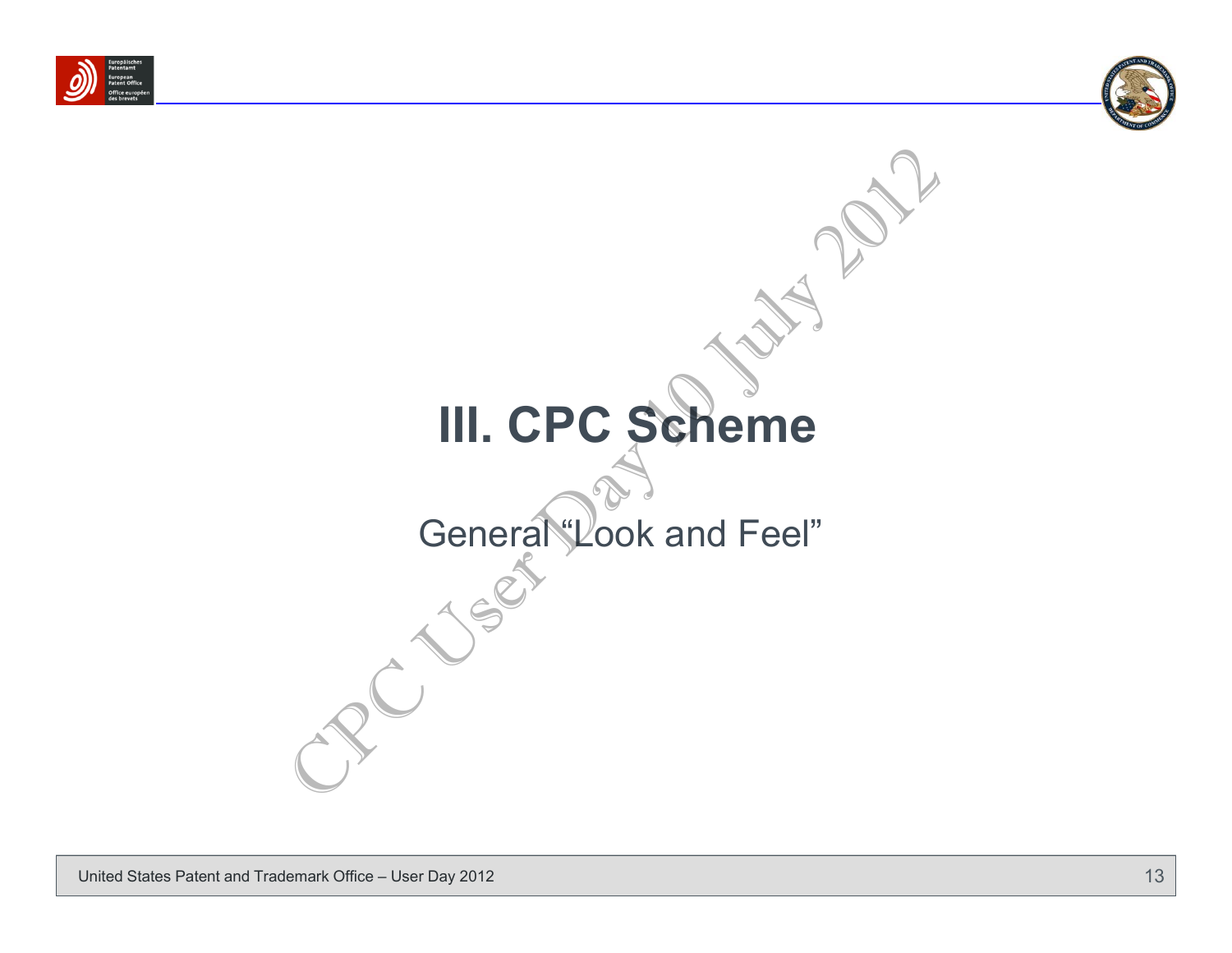



# **III. CPC Scheme** General "Look and Feel" III. CPC Scheme<br>General Look and Feel"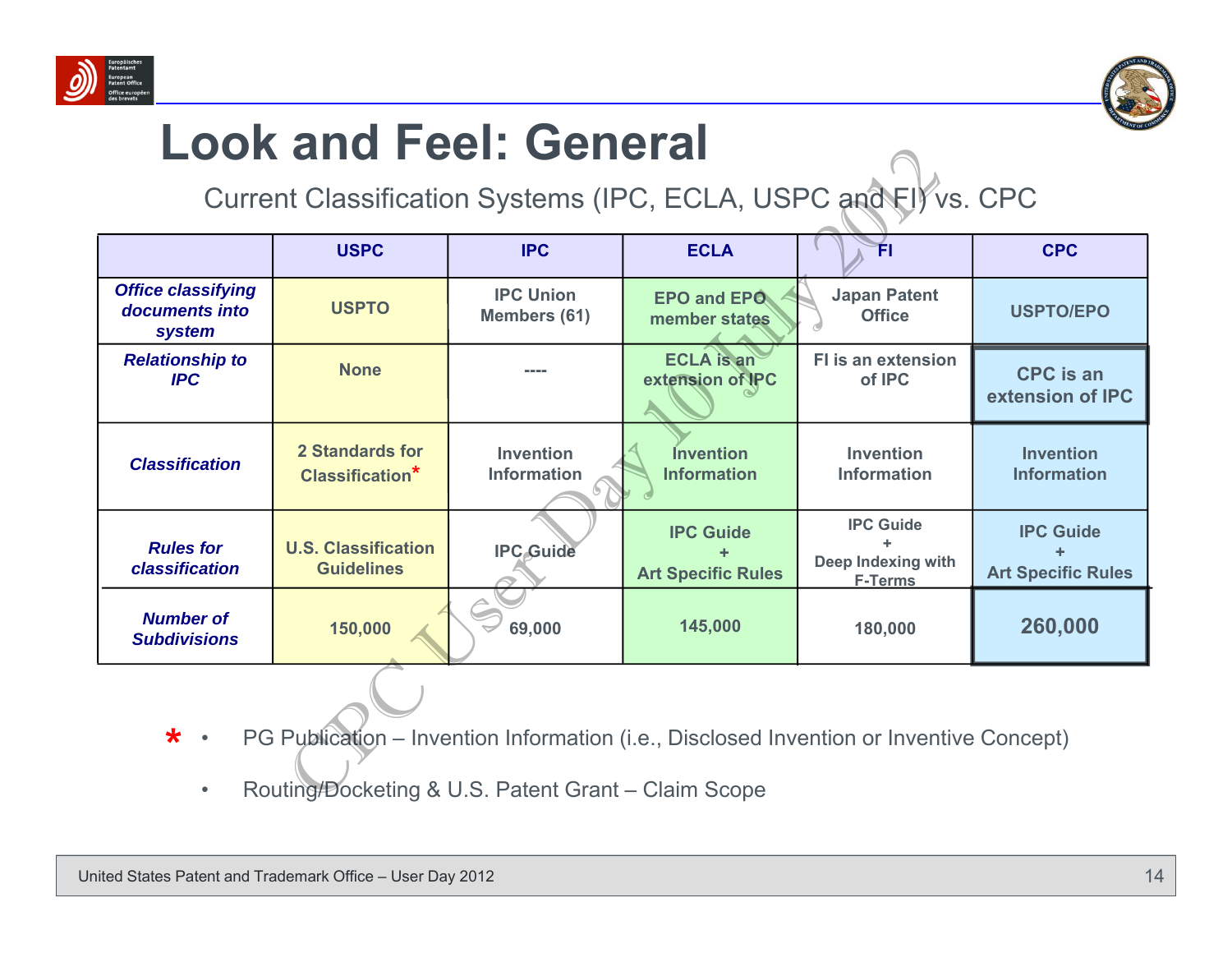



#### **Look and Feel: General**

| LUUN AIIU FEEI. UEIIEI AI<br>Current Classification Systems (IPC, ECLA, USPC and FI) vs. CPC                                                                             |                                                 |                                        |                                               |                                                                 |                                               |
|--------------------------------------------------------------------------------------------------------------------------------------------------------------------------|-------------------------------------------------|----------------------------------------|-----------------------------------------------|-----------------------------------------------------------------|-----------------------------------------------|
|                                                                                                                                                                          | <b>USPC</b>                                     | <b>IPC</b>                             | <b>ECLA</b>                                   | FI                                                              | <b>CPC</b>                                    |
| <b>Office classifying</b><br>documents into<br>system                                                                                                                    | <b>USPTO</b>                                    | <b>IPC Union</b><br>Members (61)       | <b>EPO and EPO</b><br>member states           | <b>Japan Patent</b><br><b>Office</b>                            | <b>USPTO/EPO</b>                              |
| <b>Relationship to</b><br><b>IPC</b>                                                                                                                                     | <b>None</b>                                     | ----                                   | <b>ECLA</b> is an<br>extension of IPC         | <b>FI</b> is an extension<br>of IPC                             | <b>CPC</b> is an<br>extension of IPC          |
| <b>Classification</b>                                                                                                                                                    | <b>2 Standards for</b><br>Classification*       | <b>Invention</b><br><b>Information</b> | <b>Invention</b><br><b>Information</b>        | <b>Invention</b><br><b>Information</b>                          | <b>Invention</b><br><b>Information</b>        |
| <b>Rules for</b><br>classification                                                                                                                                       | <b>U.S. Classification</b><br><b>Guidelines</b> | <b>IPC Guide</b>                       | <b>IPC Guide</b><br><b>Art Specific Rules</b> | <b>IPC Guide</b><br><b>Deep Indexing with</b><br><b>F-Terms</b> | <b>IPC Guide</b><br><b>Art Specific Rules</b> |
| <b>Number of</b><br><b>Subdivisions</b>                                                                                                                                  | 150,000                                         | 69,000                                 | 145,000                                       | 180,000                                                         | 260,000                                       |
| $\star$ .<br>PG Publication – Invention Information (i.e., Disclosed Invention or Inventive Concept)<br>Routing/Docketing & U.S. Patent Grant - Claim Scope<br>$\bullet$ |                                                 |                                        |                                               |                                                                 |                                               |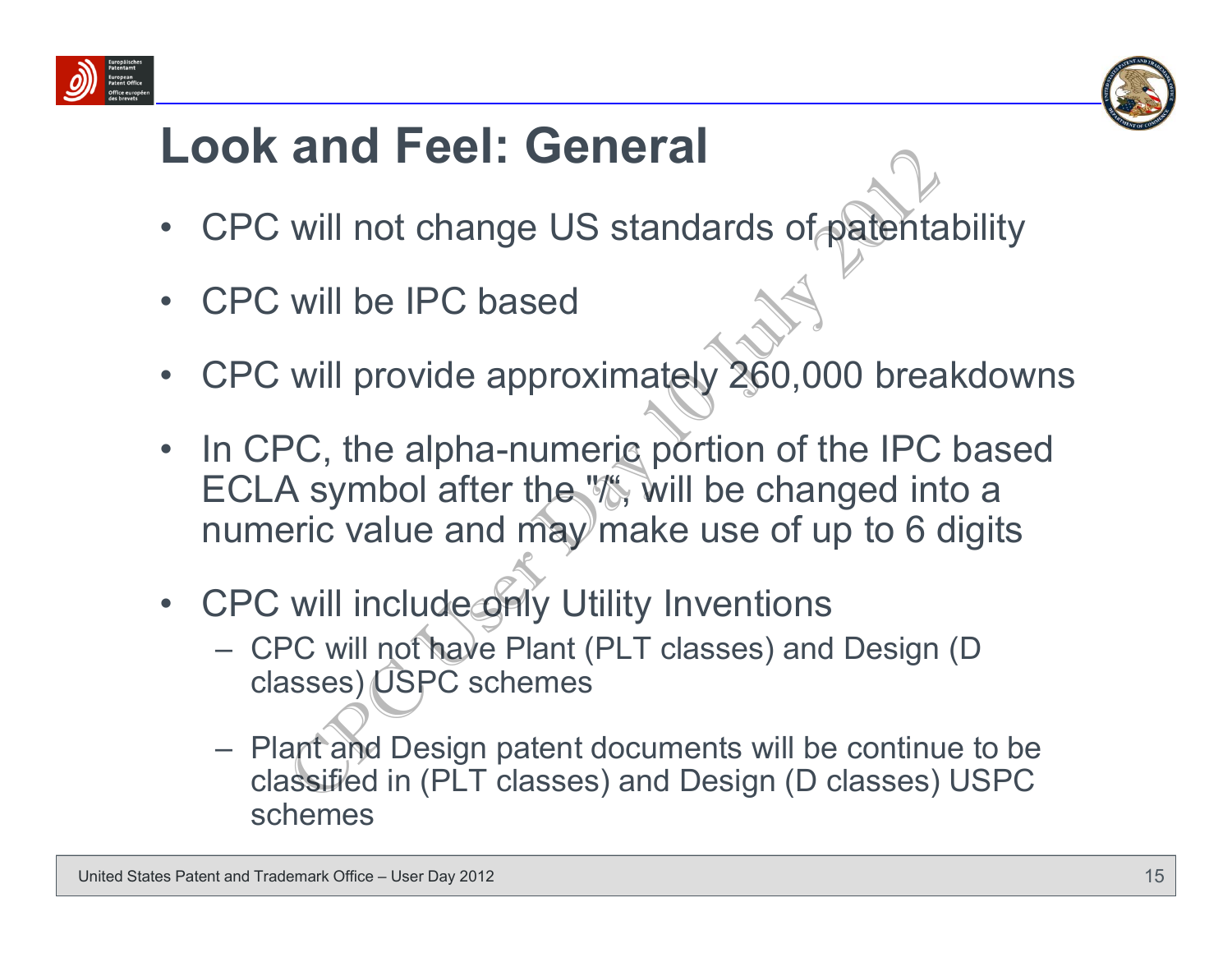



#### **Look and Feel: General**

- •CPC will not change US standards of patentability
- •CPC will be IPC based
- •CPC will provide approximately 260,000 breakdowns
- $\bullet$ In CPC, the alpha-numeric portion of the IPC based ECLA symbol after the "/", will be changed into a numeric value and may make use of up to 6 digits **EXECT: GENETAL**<br>
Will not change US standards of patents<br>
Will be IPC based<br>
Will provide approximately 260,000 brea<br>
PC, the alpha-numeric portion of the IPC<br>
A symbol after the "*N*", will be changed in<br>
PC will include
- •CPC will include only Utility Inventions
	- CPC will not have Plant (PLT classes) and Design (D classes) USPC schemes
	- Plant and Design patent documents will be continue to be classified in (PLT classes) and Design (D classes) USPC schemes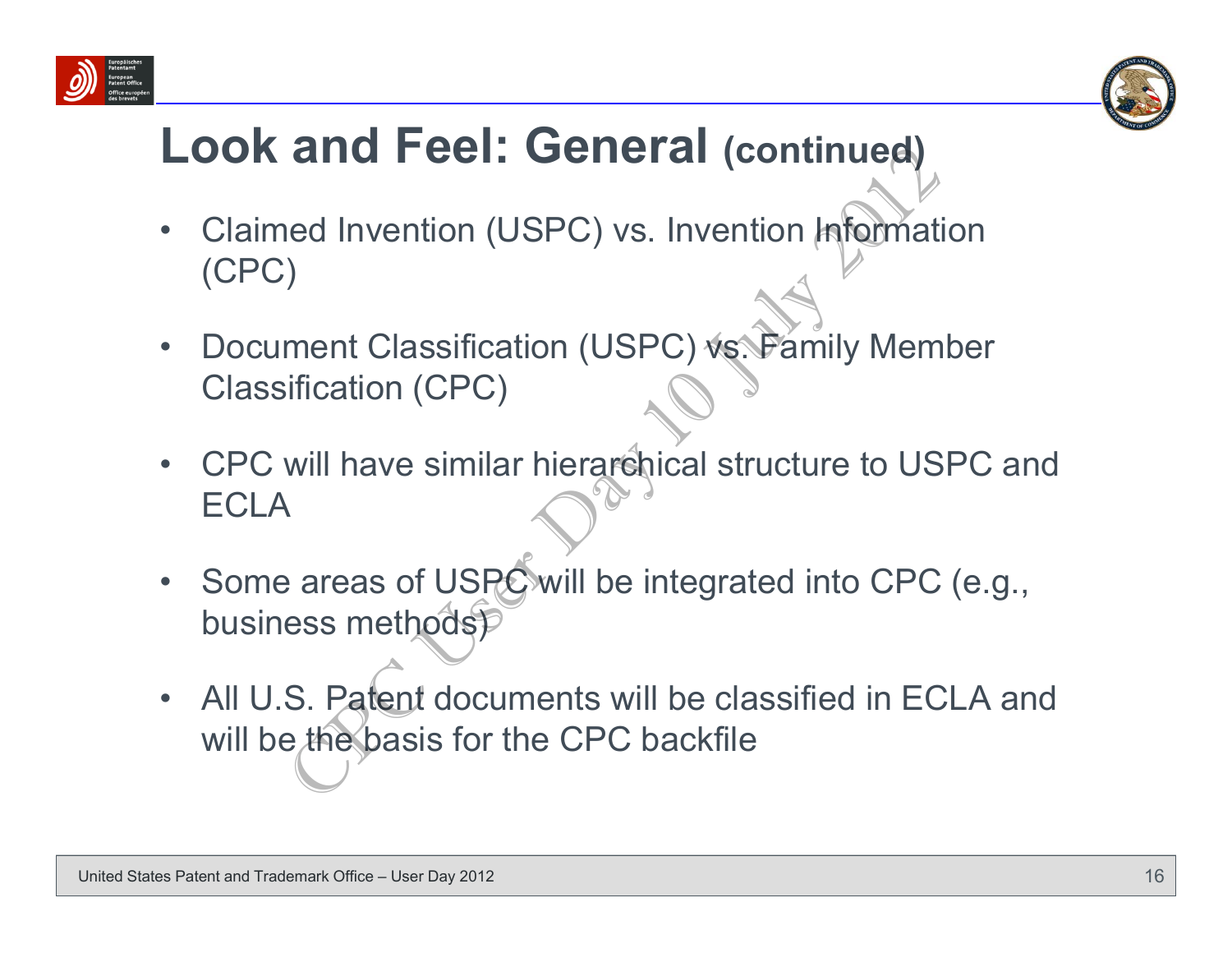



#### **Look and Feel: General (continued)**

- • Claimed Invention (USPC) vs. Invention Information (CPC)
- $\bullet$ Document Classification (USPC) vs. Family Member Classification (CPC)
- $\bullet$  CPC will have similar hierarchical structure to USPC and **ECLA**
- •Some areas of USPC will be integrated into CPC (e.g., business methods) The divention (USPC) vs. Invention Information<br>
(Continued)<br>
(CPC) will have similar hierarchical structure to US<br>
(PC)<br>
(CPC)<br>
will have similar hierarchical structure to US<br>
(Paras of USPC)<br>
(CPC)<br>
S. Patent documents wi
- • All U.S. Patent documents will be classified in ECLA and will be the basis for the CPC backfile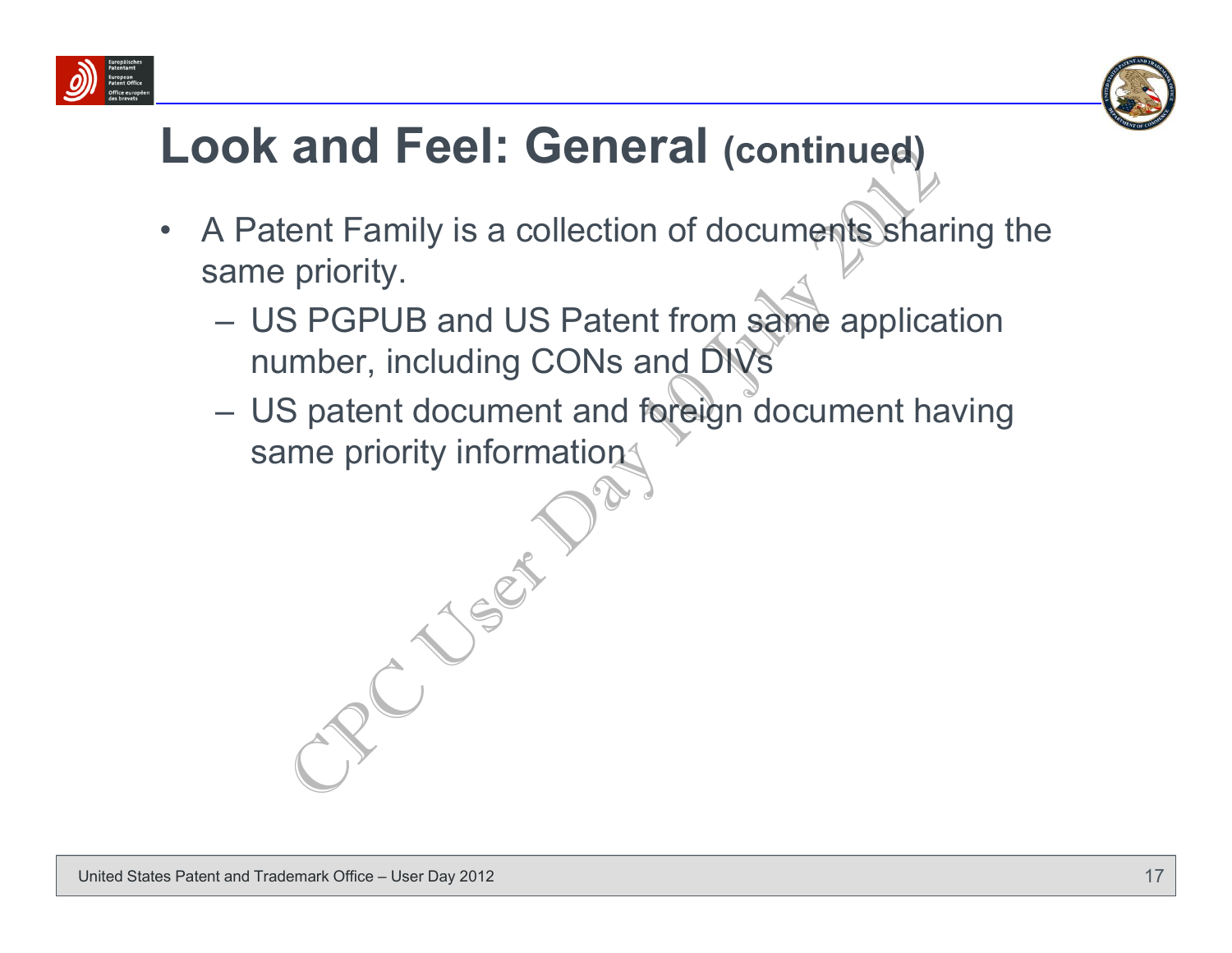



#### **Look and Feel: General (continued)**

- $\bullet$  A Patent Family is a collection of documents sharing the same priority.
- US PGPUB and US Patent from same application number, including CONs and DIVs Example 1: **Cerneral (continued)**<br>Cent Family is a collection of documents share<br>priority.<br>S PGPUB and US Patent from same applica<br>imber, including CONs and DIVs<br>S patent document and foreign document has<br>me priority infor
	- US patent document and foreign document having same priority information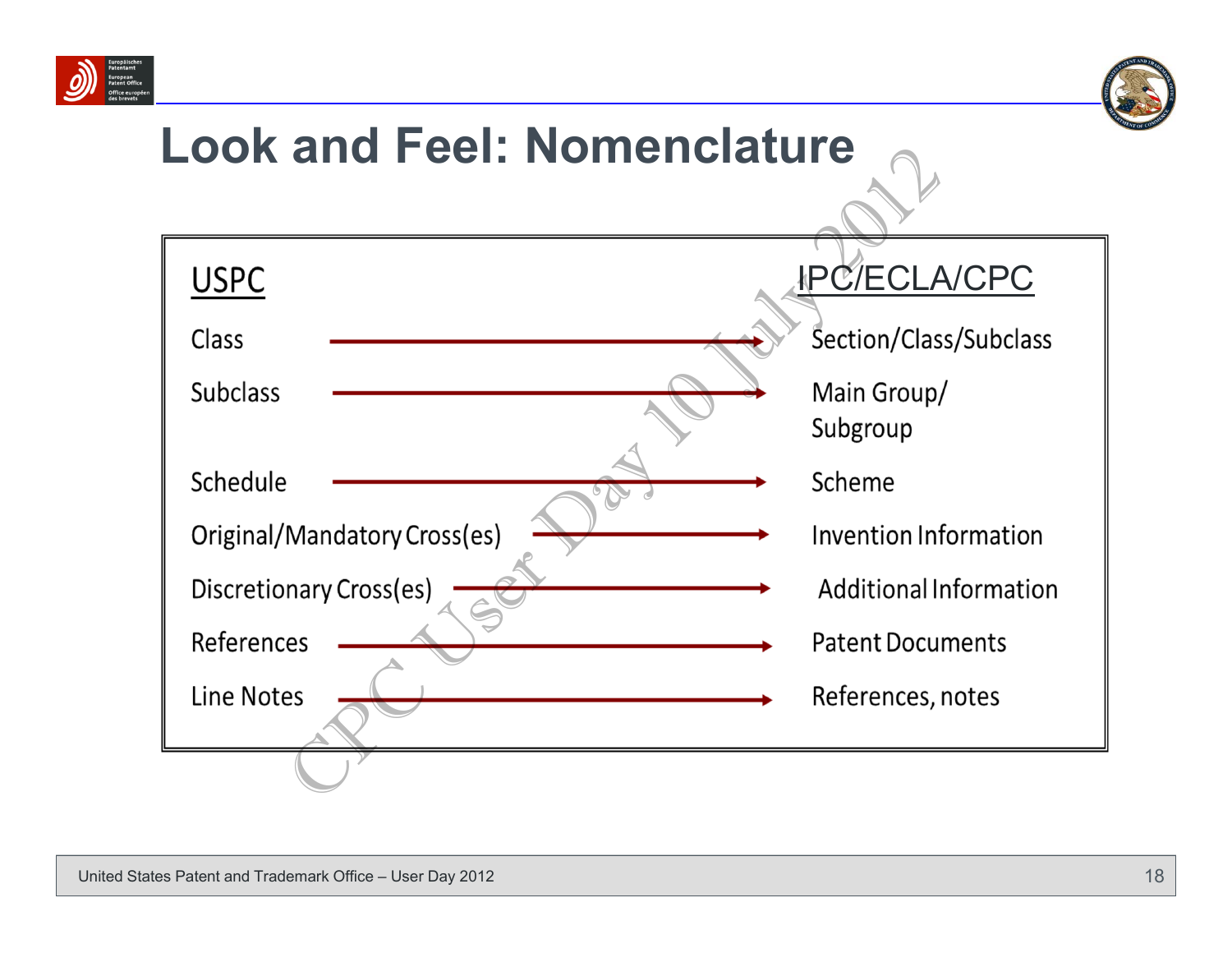



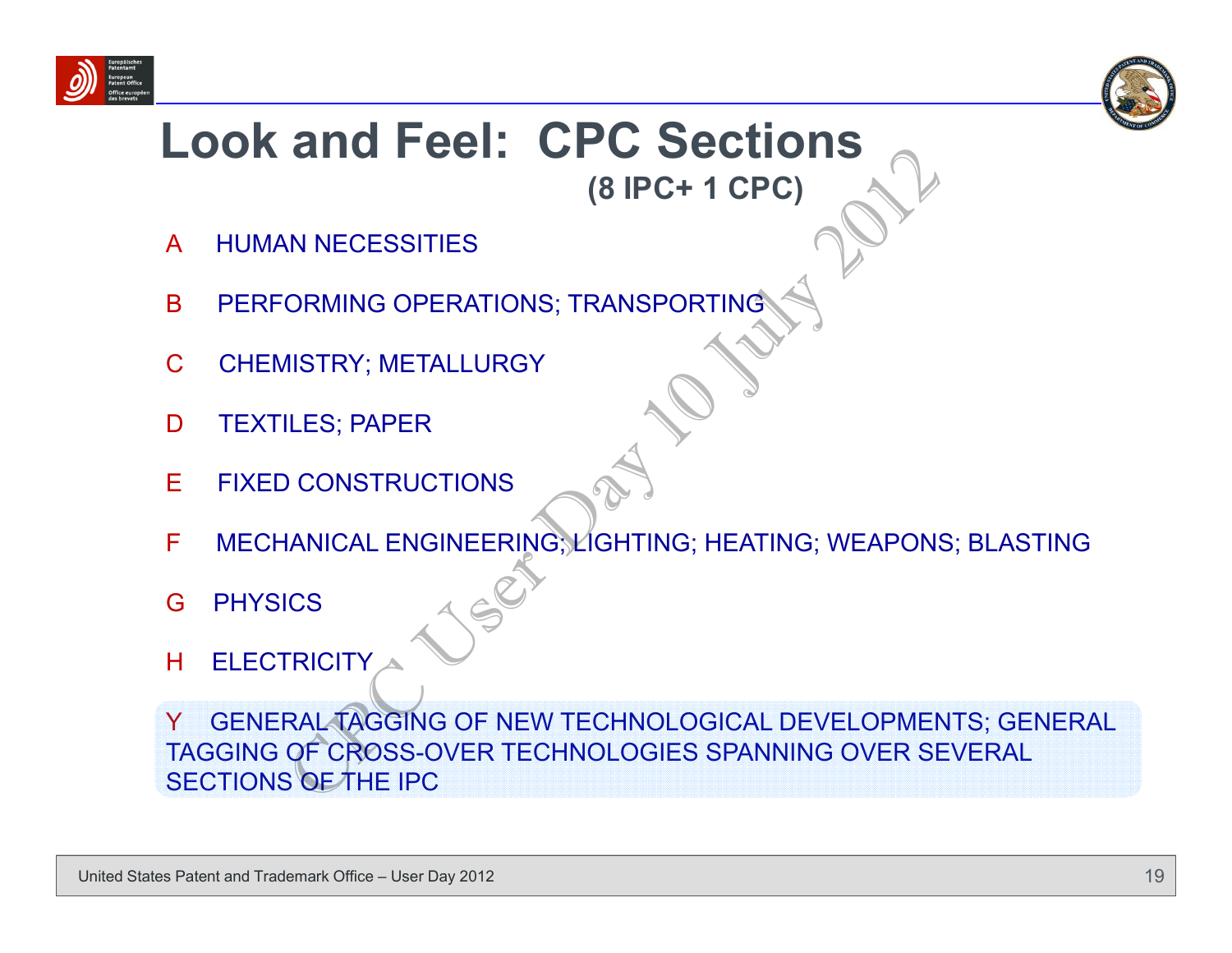



#### **Look and Feel: CPC Sections (8 IPC+ 1 CPC)**

- AHUMAN NECESSITIES
- BPERFORMING OPERATIONS; TRANSPORTING
- CCHEMISTRY; METALLURGY
- DTEXTILES; PAPER
- EFIXED CONSTRUCTIONS
- FMECHANICAL ENGINEERING; LIGHTING; HEATING; WEAPONS; BLASTING
- G**PHYSICS**
- H**ELECTRICITY**

Y | GENERAL TAGGING OF NEW TECHNOLOGICAL DEVELOPMENTS; GENERAL TAGGING OF CROSS-OVER TECHNOLOGIES SPANNING OVER SEVERAL SECTIONS OF THE IPC (8 IPC+ 1 CPC)<br>
(8 IPC+ 1 CPC)<br>
(8 IPC+ 1 CPC)<br>
(8 IPC+ 1 CPC)<br>
(8 IPC+ 1 CPC)<br>
(8 IPC+ 1 CPC)<br>
(8 IPC+ 1 CPC)<br>
(8 IPC+ 1 CPC)<br>
ISTRICT MISSIONS<br>
ILES; PAPER<br>
(CONSTRUCTIONS<br>
CONSTRUCTIONS<br>
(CONSTRUCTIONS<br>
CONSTRUCTIONS<br>
C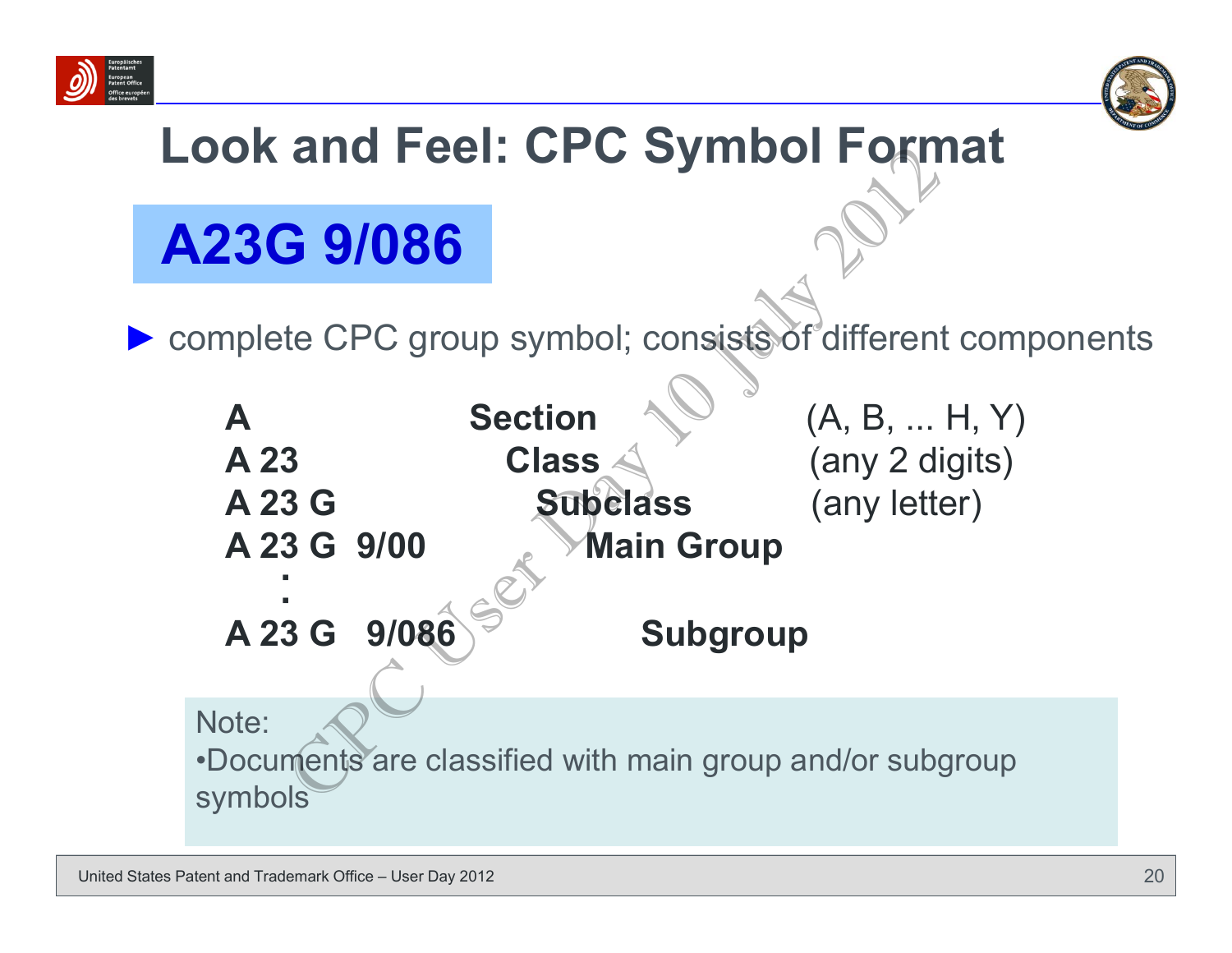



### **Look and Feel: CPC Symbol Format**

### **A23G 9/086**

▶ complete CPC group symbol; consists of different components

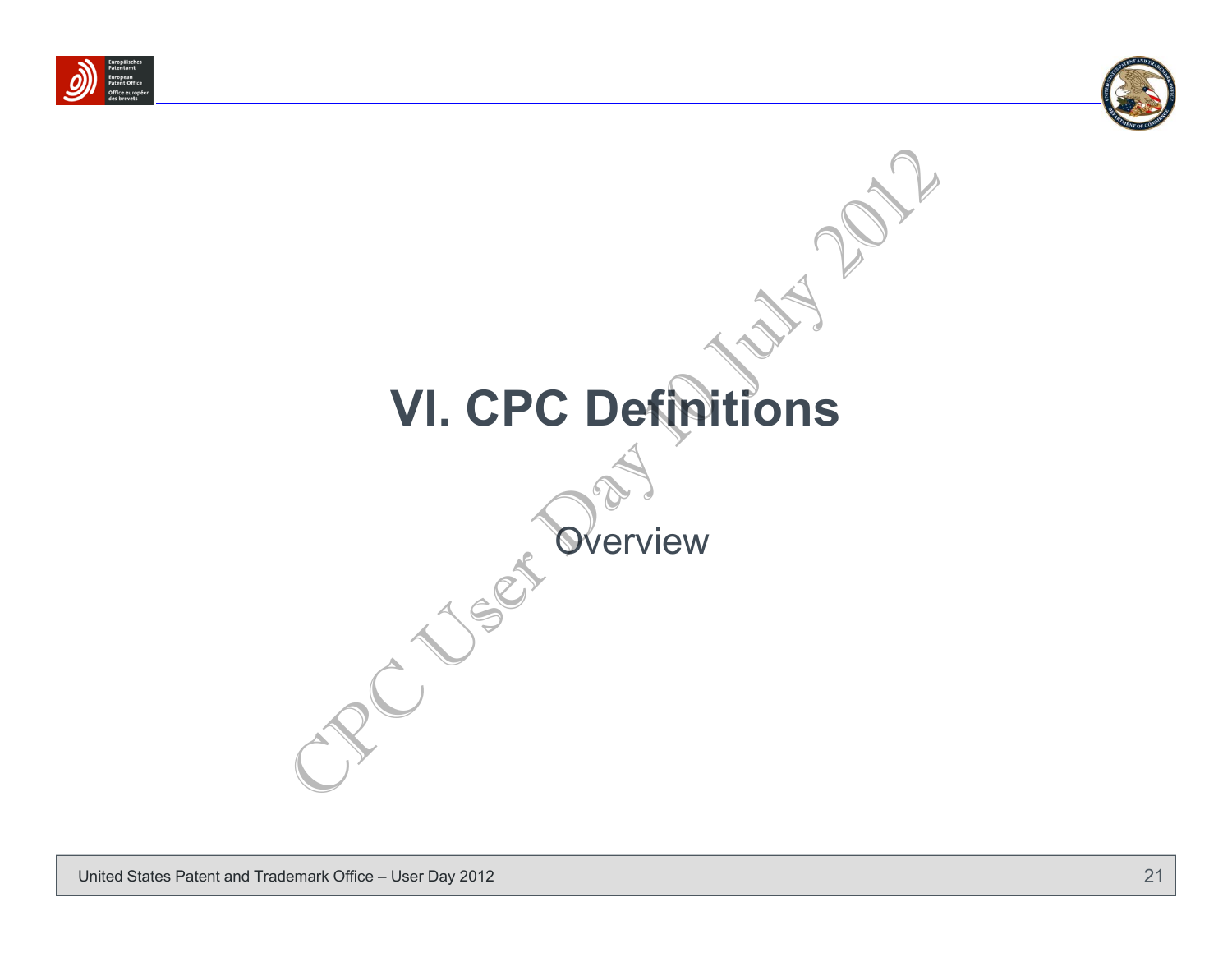



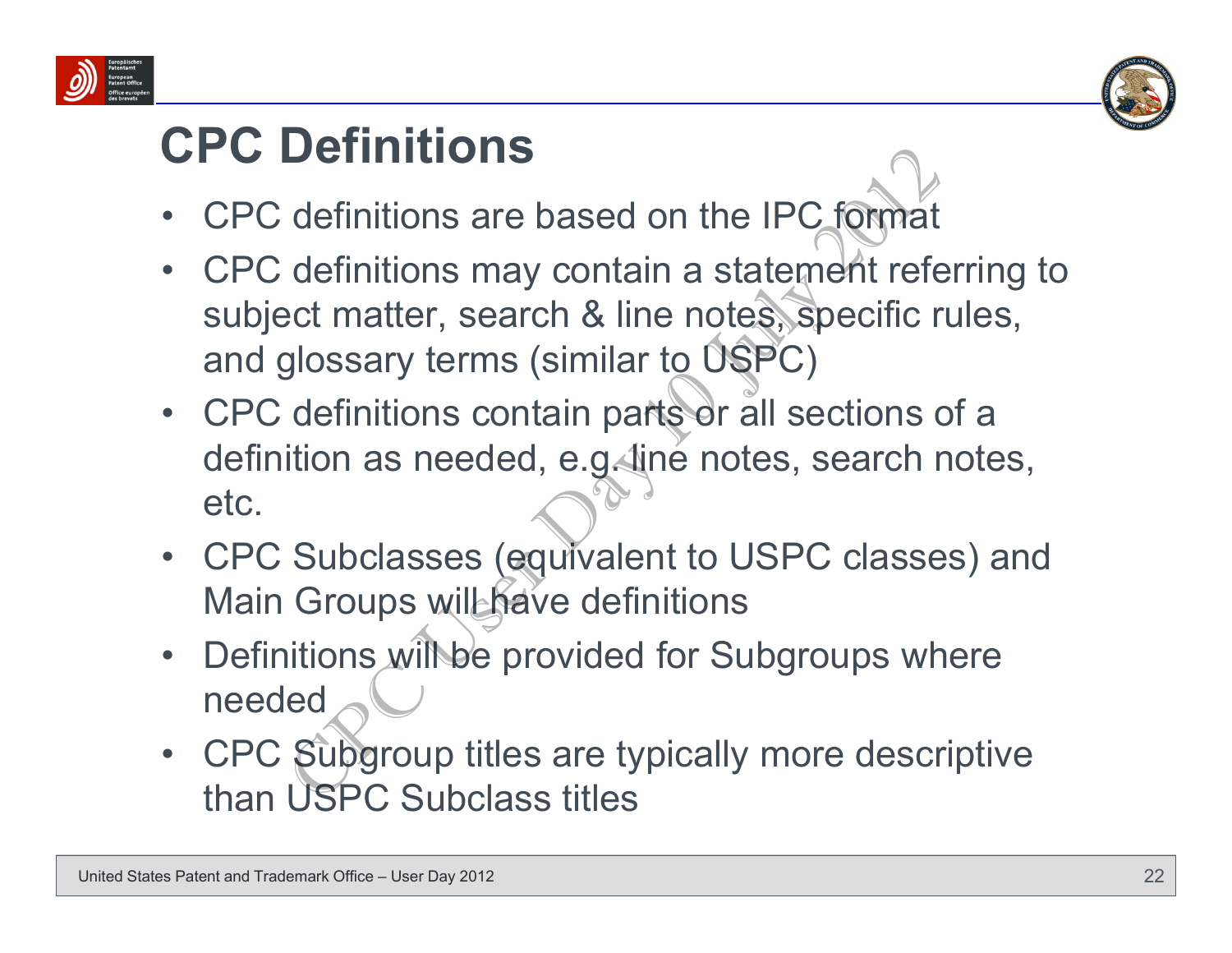



#### **CPC Definitions**

- •CPC definitions are based on the IPC format
- • CPC definitions may contain a statement referring to subject matter, search & line notes, specific rules, and glossary terms (similar to USPC)
- CPC definitions contain parts or all sections of a definition as needed, e.g. line notes, search notes, etc.**Definitions**<br>
definitions are based on the IPC format<br>
definitions may contain a statement referent matter, search & line notes, specific r<br>
glossary terms (similar to USPC)<br>
definitions contain parts or all sections of<br>
- CPC Subclasses (equivalent to USPC classes) and Main Groups will have definitions
- •Definitions will be provided for Subgroups where needed
- • CPC Subgroup titles are typically more descriptive than USPC Subclass titles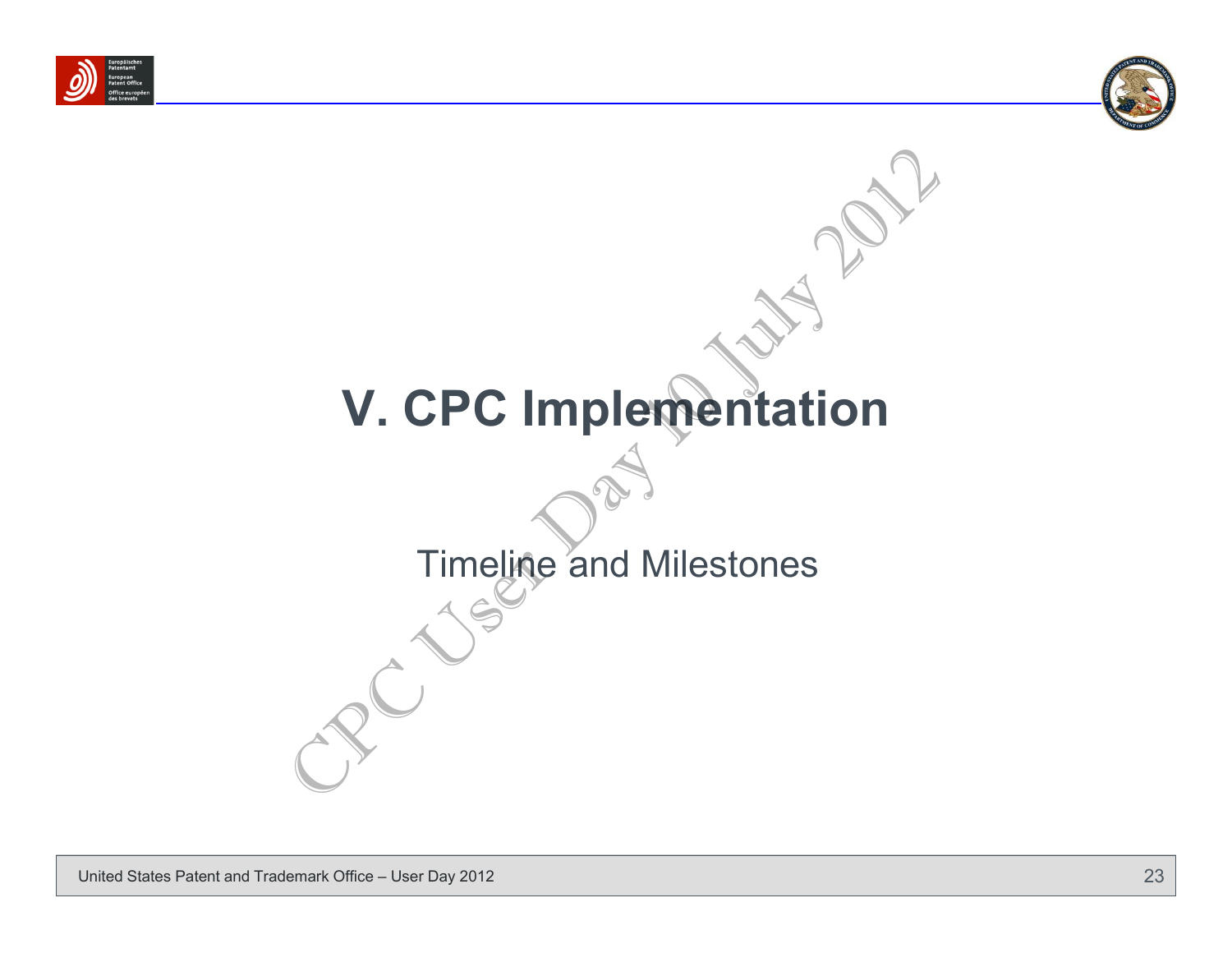



# **V. CPC Implementation** V. CPC Implementation

#### Timeline and Milestones

United States Patent and Trademark Office – User Day 2012 **23** and 2012 23 and 23 and 23 and 23 and 23 and 23 and 23 and 23 and 23 and 23 and 23 and 23 and 23 and 23 and 23 and 23 and 23 and 23 and 23 and 23 and 23 and 23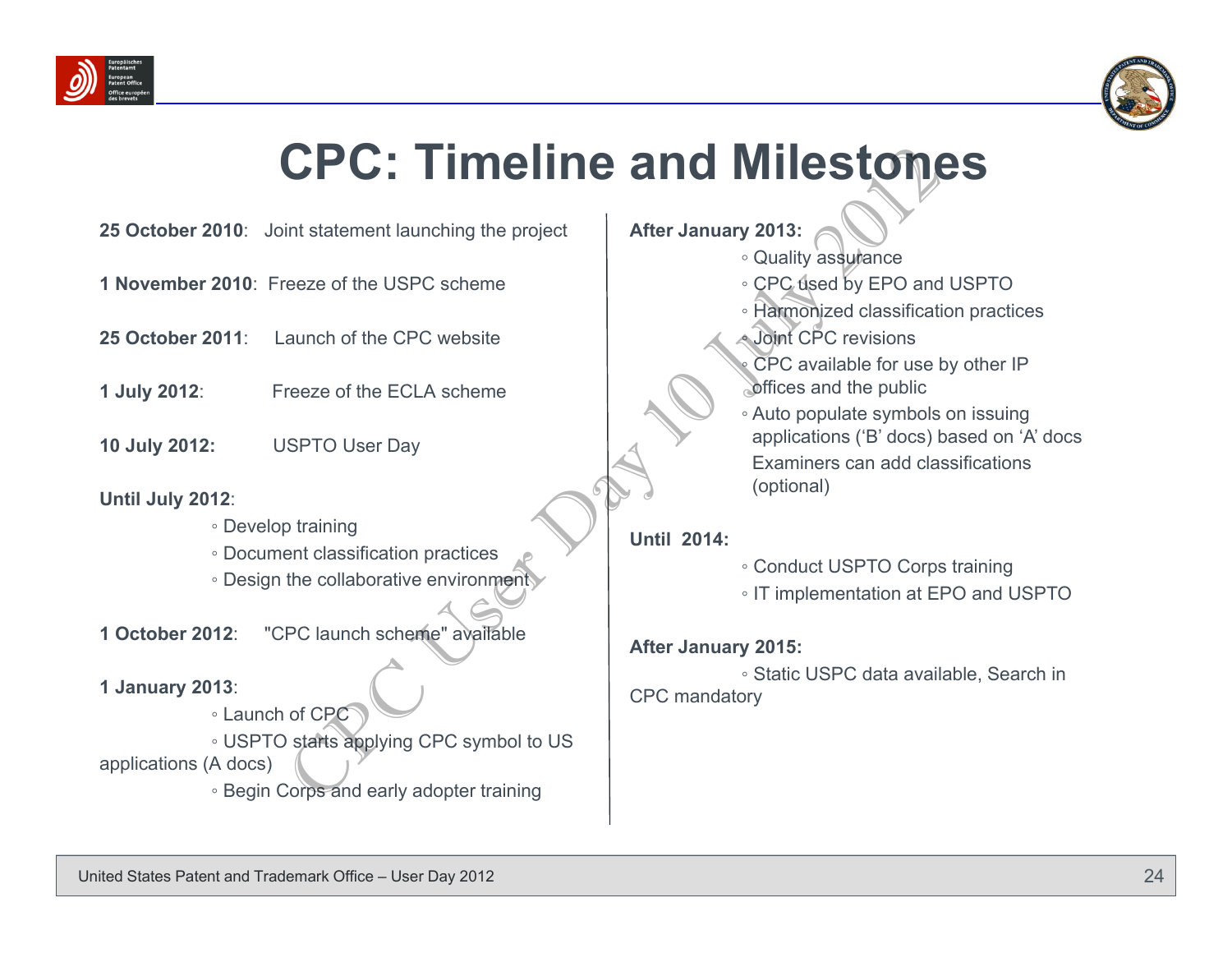



# **CPC: Timeline and Milestones** CPC: Timeline and alter January 2013:<br>
Examine the USPC scheme<br>
The USPC scheme<br>
The USPC scheme<br>
CPC available for use to the CCLA scheme<br>
CPC available for use to the ECLA scheme<br>
CPC available for use to the ECLA scheme

- **25 October 2010**: Joint statement launching the project
- **1 November 2010**: Freeze of the USPC scheme
- **25 October 2011**: Launch of the CPC website
- **1 July 2012**: Freeze of the ECLA scheme
- **10 July 2012:** USPTO User Day

#### **Until July 2012**:

- Develop training
- Document classification practices
- Design the collaborative environment
- **1 October 2012**: "CPC launch scheme" available
- **1 January 2013**:
- Launch of CPC ◦ USPTO starts applying CPC symbol to US applications (A docs)
	- Begin Corps and early adopter training

#### **After January 2013:**

◦

- **◦** Quality assurance
- CPC used by EPO and USPTO
- Harmonized classification practices
- Joint CPC revisions
- CPC available for use by other IP offices and the public
- Auto populate symbols on issuing applications ('B' docs) based on 'A' docs Examiners can add classifications (optional)

#### **Until 2014:**

- Conduct USPTO Corps training
- IT implementation at EPO and USPTO

#### **After January 2015:**

◦ Static USPC data available, Search in CPC mandatory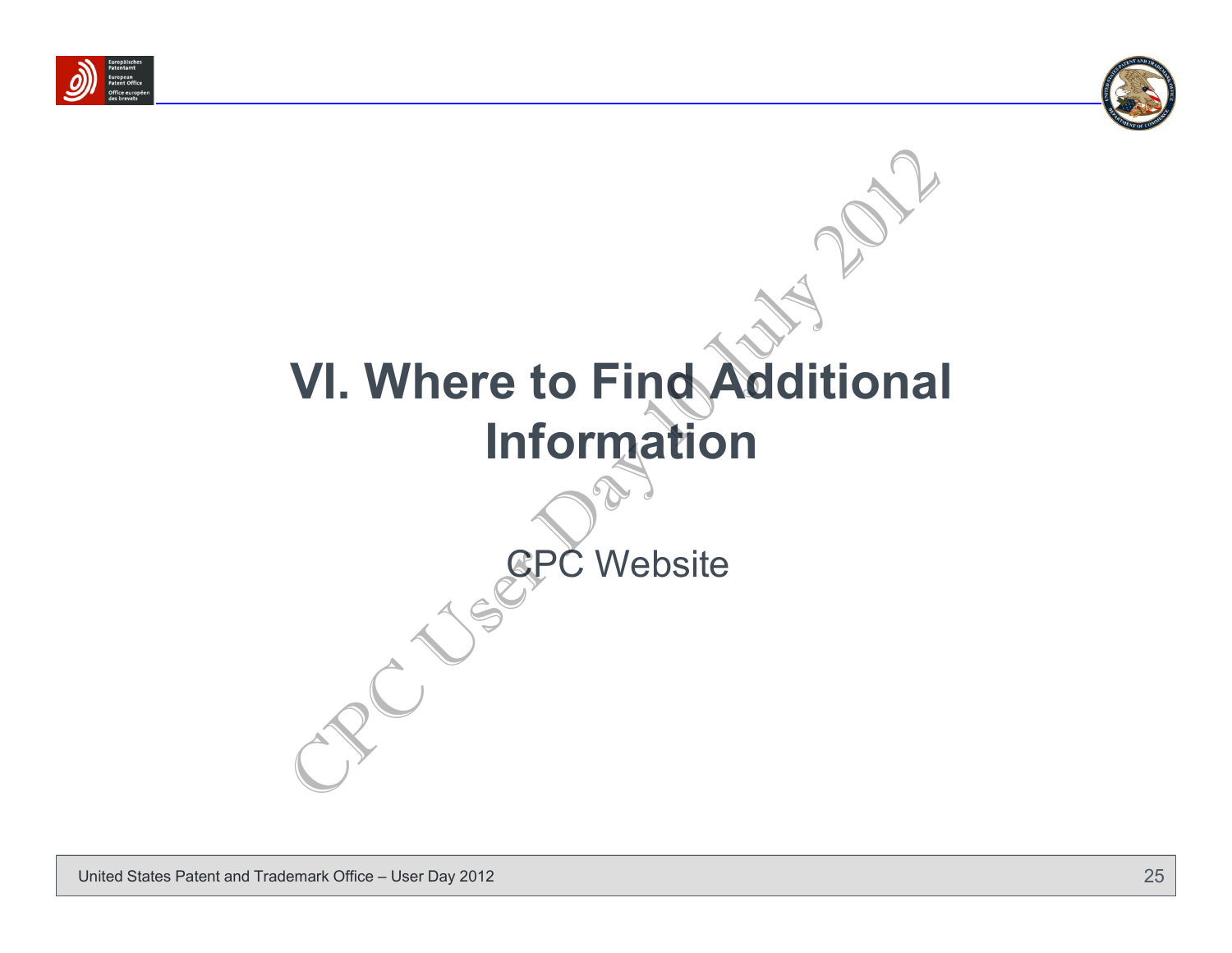



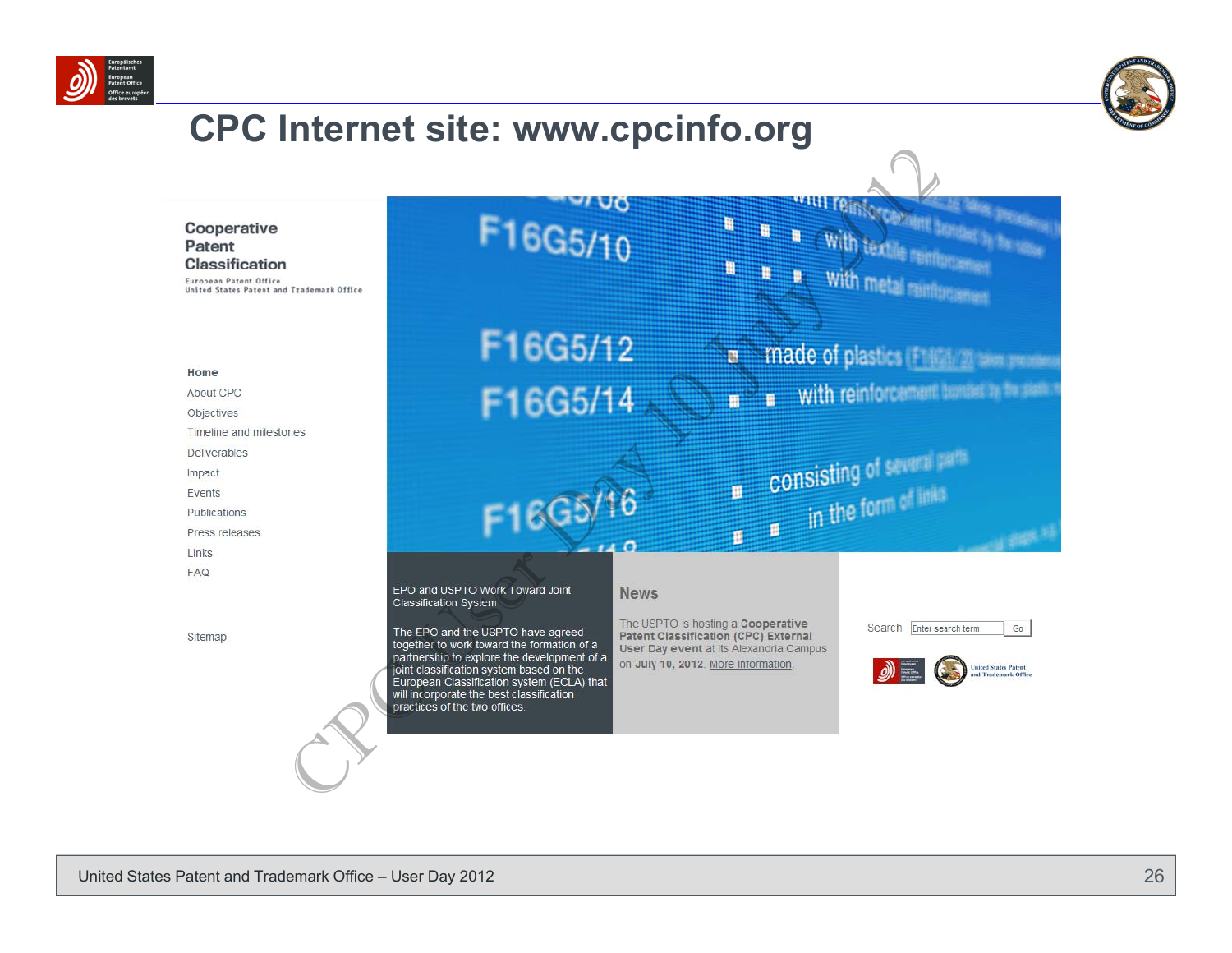



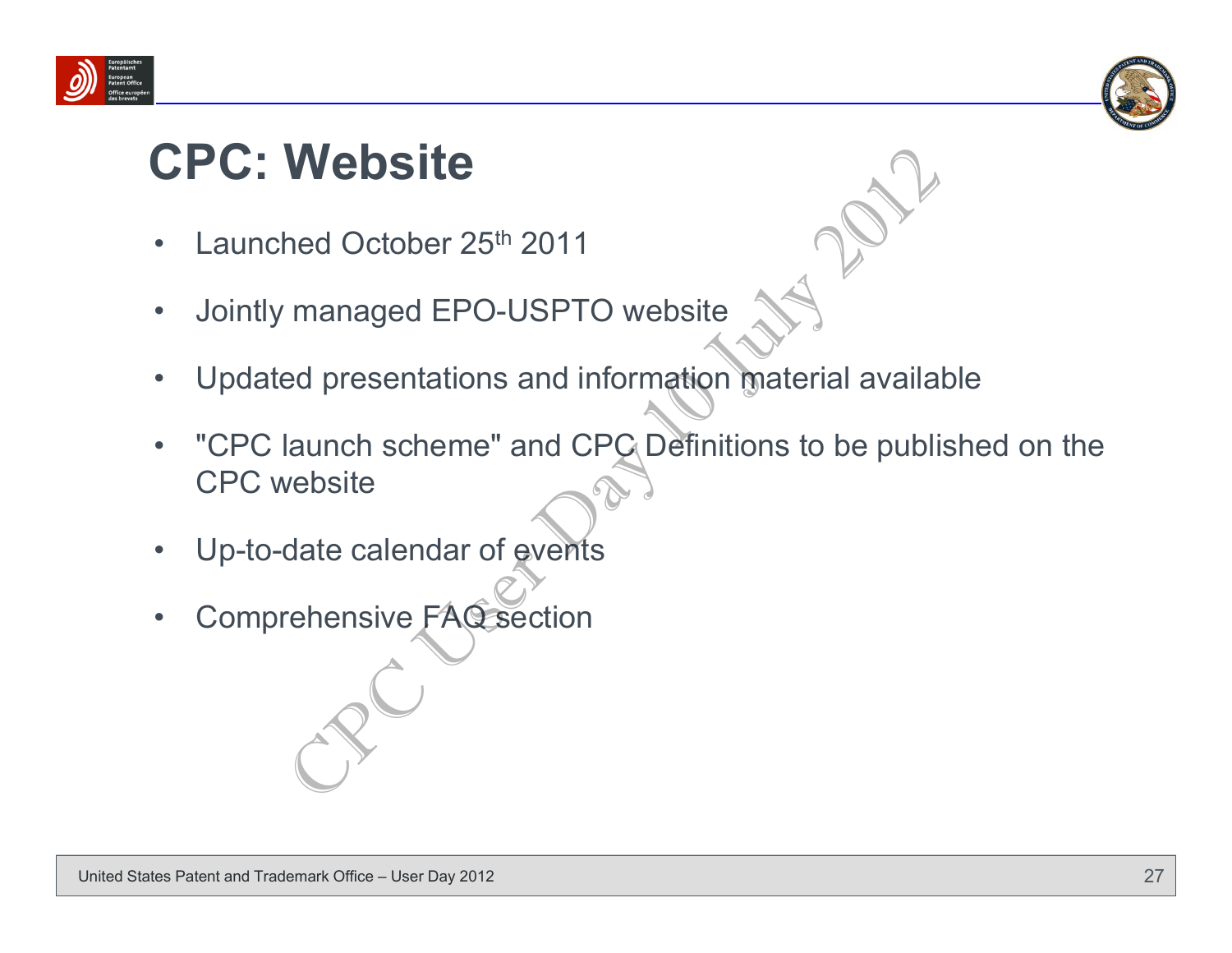



#### **CPC: Website**

- •Launched October 25<sup>th</sup> 2011
- •Jointly managed EPO-USPTO website
- •Updated presentations and information material available
- • "CPC launch scheme" and CPC Definitions to be published on the CPC websiteWebsite<br>
hed October 25<sup>th</sup> 2011<br>
managed EPO-USPTO website<br>
ed presentations and information material availal<br>
launch scheme" and CPC Definitions to be publi<br>
vebsite<br>
date calendar of events<br>
rehensive FAC section
- •Up-to-date calendar of events
- •Comprehensive FAQ section